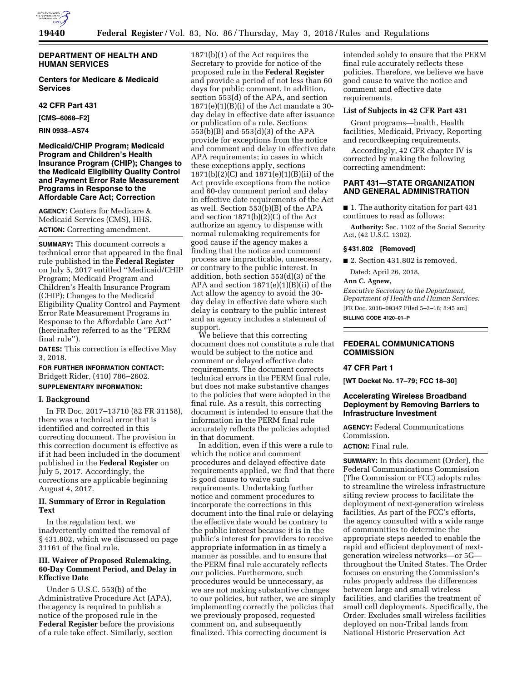

# **DEPARTMENT OF HEALTH AND HUMAN SERVICES**

**Centers for Medicare & Medicaid Services** 

**42 CFR Part 431** 

**[CMS–6068–F2]** 

**RIN 0938–AS74** 

**Medicaid/CHIP Program; Medicaid Program and Children's Health Insurance Program (CHIP); Changes to the Medicaid Eligibility Quality Control and Payment Error Rate Measurement Programs in Response to the Affordable Care Act; Correction** 

**AGENCY:** Centers for Medicare & Medicaid Services (CMS), HHS. **ACTION:** Correcting amendment.

**SUMMARY:** This document corrects a technical error that appeared in the final rule published in the **Federal Register**  on July 5, 2017 entitled ''Medicaid/CHIP Program; Medicaid Program and Children's Health Insurance Program (CHIP); Changes to the Medicaid Eligibility Quality Control and Payment Error Rate Measurement Programs in Response to the Affordable Care Act'' (hereinafter referred to as the ''PERM final rule'').

**DATES:** This correction is effective May 3, 2018.

# **FOR FURTHER INFORMATION CONTACT:**  Bridgett Rider, (410) 786–2602. **SUPPLEMENTARY INFORMATION:**

#### **I. Background**

In FR Doc. 2017–13710 (82 FR 31158), there was a technical error that is identified and corrected in this correcting document. The provision in this correction document is effective as if it had been included in the document published in the **Federal Register** on July 5, 2017. Accordingly, the corrections are applicable beginning August 4, 2017.

# **II. Summary of Error in Regulation Text**

In the regulation text, we inadvertently omitted the removal of § 431.802, which we discussed on page 31161 of the final rule.

### **III. Waiver of Proposed Rulemaking, 60-Day Comment Period, and Delay in Effective Date**

Under 5 U.S.C. 553(b) of the Administrative Procedure Act (APA), the agency is required to publish a notice of the proposed rule in the **Federal Register** before the provisions of a rule take effect. Similarly, section

1871(b)(1) of the Act requires the Secretary to provide for notice of the proposed rule in the **Federal Register**  and provide a period of not less than 60 days for public comment. In addition, section 553(d) of the APA, and section  $1871(e)(1)(B)(i)$  of the Act mandate a 30day delay in effective date after issuance or publication of a rule. Sections 553(b)(B) and 553(d)(3) of the APA provide for exceptions from the notice and comment and delay in effective date APA requirements; in cases in which these exceptions apply, sections 1871(b)(2)(C) and 1871(e)(1)(B)(ii) of the Act provide exceptions from the notice and 60-day comment period and delay in effective date requirements of the Act as well. Section 553(b)(B) of the APA and section 1871(b)(2)(C) of the Act authorize an agency to dispense with normal rulemaking requirements for good cause if the agency makes a finding that the notice and comment process are impracticable, unnecessary, or contrary to the public interest. In addition, both section 553(d)(3) of the APA and section 1871(e)(1)(B)(ii) of the Act allow the agency to avoid the 30 day delay in effective date where such delay is contrary to the public interest and an agency includes a statement of support.

We believe that this correcting document does not constitute a rule that would be subject to the notice and comment or delayed effective date requirements. The document corrects technical errors in the PERM final rule, but does not make substantive changes to the policies that were adopted in the final rule. As a result, this correcting document is intended to ensure that the information in the PERM final rule accurately reflects the policies adopted in that document.

In addition, even if this were a rule to which the notice and comment procedures and delayed effective date requirements applied, we find that there is good cause to waive such requirements. Undertaking further notice and comment procedures to incorporate the corrections in this document into the final rule or delaying the effective date would be contrary to the public interest because it is in the public's interest for providers to receive appropriate information in as timely a manner as possible, and to ensure that the PERM final rule accurately reflects our policies. Furthermore, such procedures would be unnecessary, as we are not making substantive changes to our policies, but rather, we are simply implementing correctly the policies that we previously proposed, requested comment on, and subsequently finalized. This correcting document is

intended solely to ensure that the PERM final rule accurately reflects these policies. Therefore, we believe we have good cause to waive the notice and comment and effective date requirements.

# **List of Subjects in 42 CFR Part 431**

Grant programs—health, Health facilities, Medicaid, Privacy, Reporting and recordkeeping requirements.

Accordingly, 42 CFR chapter IV is corrected by making the following correcting amendment:

### **PART 431—STATE ORGANIZATION AND GENERAL ADMINISTRATION**

■ 1. The authority citation for part 431 continues to read as follows:

**Authority:** Sec. 1102 of the Social Security Act, (42 U.S.C. 1302).

#### **§ 431.802 [Removed]**

■ 2. Section 431.802 is removed.

Dated: April 26, 2018.

#### **Ann C. Agnew,**

*Executive Secretary to the Department, Department of Health and Human Services.*  [FR Doc. 2018–09347 Filed 5–2–18; 8:45 am] **BILLING CODE 4120–01–P** 

# **FEDERAL COMMUNICATIONS COMMISSION**

## **47 CFR Part 1**

**[WT Docket No. 17–79; FCC 18–30]** 

# **Accelerating Wireless Broadband Deployment by Removing Barriers to Infrastructure Investment**

**AGENCY:** Federal Communications Commission.

**ACTION:** Final rule.

**SUMMARY:** In this document (Order), the Federal Communications Commission (The Commission or FCC) adopts rules to streamline the wireless infrastructure siting review process to facilitate the deployment of next-generation wireless facilities. As part of the FCC's efforts, the agency consulted with a wide range of communities to determine the appropriate steps needed to enable the rapid and efficient deployment of nextgeneration wireless networks—or 5G throughout the United States. The Order focuses on ensuring the Commission's rules properly address the differences between large and small wireless facilities, and clarifies the treatment of small cell deployments. Specifically, the Order: Excludes small wireless facilities deployed on non-Tribal lands from National Historic Preservation Act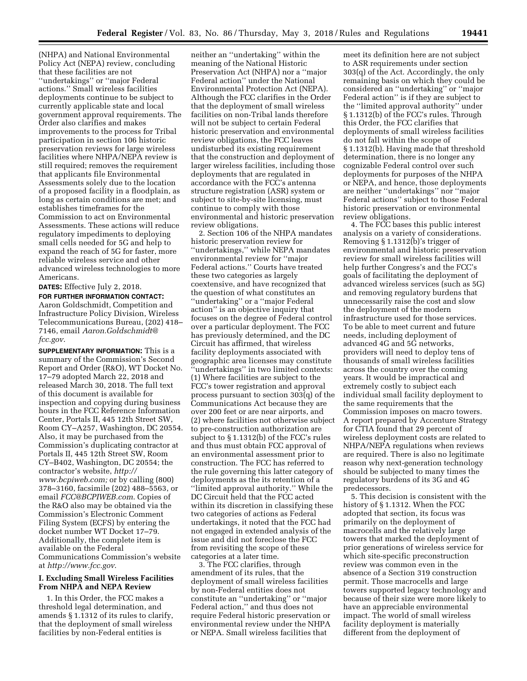(NHPA) and National Environmental Policy Act (NEPA) review, concluding that these facilities are not ''undertakings'' or ''major Federal actions.'' Small wireless facilities deployments continue to be subject to currently applicable state and local government approval requirements. The Order also clarifies and makes improvements to the process for Tribal participation in section 106 historic preservation reviews for large wireless facilities where NHPA/NEPA review is still required; removes the requirement that applicants file Environmental Assessments solely due to the location of a proposed facility in a floodplain, as long as certain conditions are met; and establishes timeframes for the Commission to act on Environmental Assessments. These actions will reduce regulatory impediments to deploying small cells needed for 5G and help to expand the reach of 5G for faster, more reliable wireless service and other advanced wireless technologies to more Americans.

**DATES:** Effective July 2, 2018.

**FOR FURTHER INFORMATION CONTACT:**  Aaron Goldschmidt, Competition and Infrastructure Policy Division, Wireless Telecommunications Bureau, (202) 418– 7146, email *[Aaron.Goldschmidt@](mailto:Aaron.Goldschmidt@fcc.gov) [fcc.gov](mailto:Aaron.Goldschmidt@fcc.gov)*.

**SUPPLEMENTARY INFORMATION:** This is a summary of the Commission's Second Report and Order (R&O), WT Docket No. 17–79 adopted March 22, 2018 and released March 30, 2018. The full text of this document is available for inspection and copying during business hours in the FCC Reference Information Center, Portals II, 445 12th Street SW, Room CY–A257, Washington, DC 20554. Also, it may be purchased from the Commission's duplicating contractor at Portals II, 445 12th Street SW, Room CY–B402, Washington, DC 20554; the contractor's website, *[http://](http://www.bcpiweb.com) [www.bcpiweb.com;](http://www.bcpiweb.com)* or by calling (800) 378–3160, facsimile (202) 488–5563, or email *[FCC@BCPIWEB.com](mailto:FCC@BCPIWEB.com)*. Copies of the R&O also may be obtained via the Commission's Electronic Comment Filing System (ECFS) by entering the docket number WT Docket 17–79. Additionally, the complete item is available on the Federal Communications Commission's website at *<http://www.fcc.gov>*.

# **I. Excluding Small Wireless Facilities From NHPA and NEPA Review**

1. In this Order, the FCC makes a threshold legal determination, and amends § 1.1312 of its rules to clarify, that the deployment of small wireless facilities by non-Federal entities is

neither an ''undertaking'' within the meaning of the National Historic Preservation Act (NHPA) nor a ''major Federal action'' under the National Environmental Protection Act (NEPA). Although the FCC clarifies in the Order that the deployment of small wireless facilities on non-Tribal lands therefore will not be subject to certain Federal historic preservation and environmental review obligations, the FCC leaves undisturbed its existing requirement that the construction and deployment of larger wireless facilities, including those deployments that are regulated in accordance with the FCC's antenna structure registration (ASR) system or subject to site-by-site licensing, must continue to comply with those environmental and historic preservation review obligations.

2. Section 106 of the NHPA mandates historic preservation review for ''undertakings,'' while NEPA mandates environmental review for ''major Federal actions.'' Courts have treated these two categories as largely coextensive, and have recognized that the question of what constitutes an ''undertaking'' or a ''major Federal action'' is an objective inquiry that focuses on the degree of Federal control over a particular deployment. The FCC has previously determined, and the DC Circuit has affirmed, that wireless facility deployments associated with geographic area licenses may constitute ''undertakings'' in two limited contexts: (1) Where facilities are subject to the FCC's tower registration and approval process pursuant to section 303(q) of the Communications Act because they are over 200 feet or are near airports, and (2) where facilities not otherwise subject to pre-construction authorization are subject to § 1.1312(b) of the FCC's rules and thus must obtain FCC approval of an environmental assessment prior to construction. The FCC has referred to the rule governing this latter category of deployments as the its retention of a ''limited approval authority.'' While the DC Circuit held that the FCC acted within its discretion in classifying these two categories of actions as Federal undertakings, it noted that the FCC had not engaged in extended analysis of the issue and did not foreclose the FCC from revisiting the scope of these categories at a later time.

3. The FCC clarifies, through amendment of its rules, that the deployment of small wireless facilities by non-Federal entities does not constitute an ''undertaking'' or ''major Federal action,'' and thus does not require Federal historic preservation or environmental review under the NHPA or NEPA. Small wireless facilities that

meet its definition here are not subject to ASR requirements under section 303(q) of the Act. Accordingly, the only remaining basis on which they could be considered an ''undertaking'' or ''major Federal action'' is if they are subject to the ''limited approval authority'' under § 1.1312(b) of the FCC's rules. Through this Order, the FCC clarifies that deployments of small wireless facilities do not fall within the scope of § 1.1312(b). Having made that threshold determination, there is no longer any cognizable Federal control over such deployments for purposes of the NHPA or NEPA, and hence, those deployments are neither ''undertakings'' nor ''major Federal actions'' subject to those Federal historic preservation or environmental review obligations.

4. The FCC bases this public interest analysis on a variety of considerations. Removing § 1.1312(b)'s trigger of environmental and historic preservation review for small wireless facilities will help further Congress's and the FCC's goals of facilitating the deployment of advanced wireless services (such as 5G) and removing regulatory burdens that unnecessarily raise the cost and slow the deployment of the modern infrastructure used for those services. To be able to meet current and future needs, including deployment of advanced 4G and 5G networks, providers will need to deploy tens of thousands of small wireless facilities across the country over the coming years. It would be impractical and extremely costly to subject each individual small facility deployment to the same requirements that the Commission imposes on macro towers. A report prepared by Accenture Strategy for CTIA found that 29 percent of wireless deployment costs are related to NHPA/NEPA regulations when reviews are required. There is also no legitimate reason why next-generation technology should be subjected to many times the regulatory burdens of its 3G and 4G predecessors.

5. This decision is consistent with the history of § 1.1312. When the FCC adopted that section, its focus was primarily on the deployment of macrocells and the relatively large towers that marked the deployment of prior generations of wireless service for which site-specific preconstruction review was common even in the absence of a Section 319 construction permit. Those macrocells and large towers supported legacy technology and because of their size were more likely to have an appreciable environmental impact. The world of small wireless facility deployment is materially different from the deployment of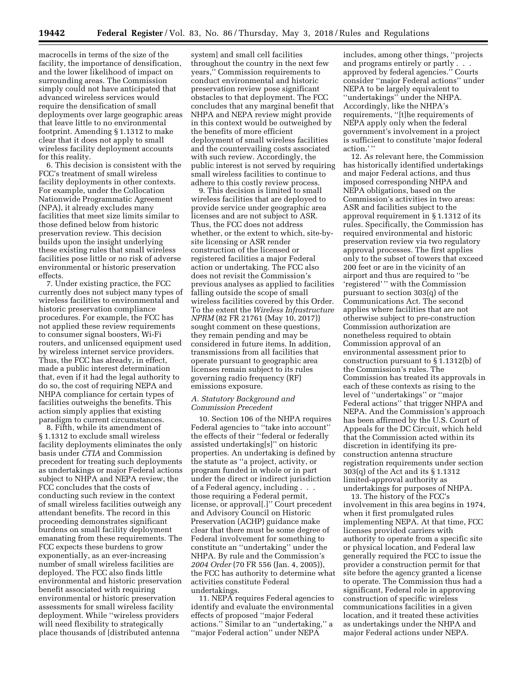macrocells in terms of the size of the facility, the importance of densification, and the lower likelihood of impact on surrounding areas. The Commission simply could not have anticipated that advanced wireless services would require the densification of small deployments over large geographic areas that leave little to no environmental footprint. Amending § 1.1312 to make clear that it does not apply to small wireless facility deployment accounts for this reality.

6. This decision is consistent with the FCC's treatment of small wireless facility deployments in other contexts. For example, under the Collocation Nationwide Programmatic Agreement (NPA), it already excludes many facilities that meet size limits similar to those defined below from historic preservation review. This decision builds upon the insight underlying these existing rules that small wireless facilities pose little or no risk of adverse environmental or historic preservation effects.

7. Under existing practice, the FCC currently does not subject many types of wireless facilities to environmental and historic preservation compliance procedures. For example, the FCC has not applied these review requirements to consumer signal boosters, Wi-Fi routers, and unlicensed equipment used by wireless internet service providers. Thus, the FCC has already, in effect, made a public interest determination that, even if it had the legal authority to do so, the cost of requiring NEPA and NHPA compliance for certain types of facilities outweighs the benefits. This action simply applies that existing paradigm to current circumstances.

8. Fifth, while its amendment of § 1.1312 to exclude small wireless facility deployments eliminates the only basis under *CTIA* and Commission precedent for treating such deployments as undertakings or major Federal actions subject to NHPA and NEPA review, the FCC concludes that the costs of conducting such review in the context of small wireless facilities outweigh any attendant benefits. The record in this proceeding demonstrates significant burdens on small facility deployment emanating from these requirements. The FCC expects these burdens to grow exponentially, as an ever-increasing number of small wireless facilities are deployed. The FCC also finds little environmental and historic preservation benefit associated with requiring environmental or historic preservation assessments for small wireless facility deployment. While ''wireless providers will need flexibility to strategically place thousands of [distributed antenna

system] and small cell facilities throughout the country in the next few years,'' Commission requirements to conduct environmental and historic preservation review pose significant obstacles to that deployment. The FCC concludes that any marginal benefit that NHPA and NEPA review might provide in this context would be outweighed by the benefits of more efficient deployment of small wireless facilities and the countervailing costs associated with such review. Accordingly, the public interest is not served by requiring small wireless facilities to continue to adhere to this costly review process.

9. This decision is limited to small wireless facilities that are deployed to provide service under geographic area licenses and are not subject to ASR. Thus, the FCC does not address whether, or the extent to which, site-bysite licensing or ASR render construction of the licensed or registered facilities a major Federal action or undertaking. The FCC also does not revisit the Commission's previous analyses as applied to facilities falling outside the scope of small wireless facilities covered by this Order. To the extent the *Wireless Infrastructure NPRM* (82 FR 21761 (May 10, 2017)) sought comment on these questions, they remain pending and may be considered in future items. In addition, transmissions from all facilities that operate pursuant to geographic area licenses remain subject to its rules governing radio frequency (RF) emissions exposure.

### *A. Statutory Background and Commission Precedent*

10. Section 106 of the NHPA requires Federal agencies to ''take into account'' the effects of their ''federal or federally assisted undertaking[s]'' on historic properties. An undertaking is defined by the statute as ''a project, activity, or program funded in whole or in part under the direct or indirect jurisdiction of a Federal agency, including . . . those requiring a Federal permit, license, or approval[.]'' Court precedent and Advisory Council on Historic Preservation (ACHP) guidance make clear that there must be some degree of Federal involvement for something to constitute an ''undertaking'' under the NHPA. By rule and the Commission's *2004 Order* (70 FR 556 (Jan. 4, 2005)), the FCC has authority to determine what activities constitute Federal undertakings.

11. NEPA requires Federal agencies to identify and evaluate the environmental effects of proposed ''major Federal actions.'' Similar to an ''undertaking,'' a ''major Federal action'' under NEPA

includes, among other things, ''projects and programs entirely or partly . . . approved by federal agencies.'' Courts consider ''major Federal actions'' under NEPA to be largely equivalent to ''undertakings'' under the NHPA. Accordingly, like the NHPA's requirements, ''[t]he requirements of NEPA apply only when the federal government's involvement in a project is sufficient to constitute 'major federal action.'"

12. As relevant here, the Commission has historically identified undertakings and major Federal actions, and thus imposed corresponding NHPA and NEPA obligations, based on the Commission's activities in two areas: ASR and facilities subject to the approval requirement in § 1.1312 of its rules. Specifically, the Commission has required environmental and historic preservation review via two regulatory approval processes. The first applies only to the subset of towers that exceed 200 feet or are in the vicinity of an airport and thus are required to ''be 'registered' '' with the Commission pursuant to section 303(q) of the Communications Act. The second applies where facilities that are not otherwise subject to pre-construction Commission authorization are nonetheless required to obtain Commission approval of an environmental assessment prior to construction pursuant to § 1.1312(b) of the Commission's rules. The Commission has treated its approvals in each of these contexts as rising to the level of ''undertakings'' or ''major Federal actions'' that trigger NHPA and NEPA. And the Commission's approach has been affirmed by the U.S. Court of Appeals for the DC Circuit, which held that the Commission acted within its discretion in identifying its preconstruction antenna structure registration requirements under section 303(q) of the Act and its § 1.1312 limited-approval authority as undertakings for purposes of NHPA.

13. The history of the FCC's involvement in this area begins in 1974, when it first promulgated rules implementing NEPA. At that time, FCC licenses provided carriers with authority to operate from a specific site or physical location, and Federal law generally required the FCC to issue the provider a construction permit for that site before the agency granted a license to operate. The Commission thus had a significant, Federal role in approving construction of specific wireless communications facilities in a given location, and it treated these activities as undertakings under the NHPA and major Federal actions under NEPA.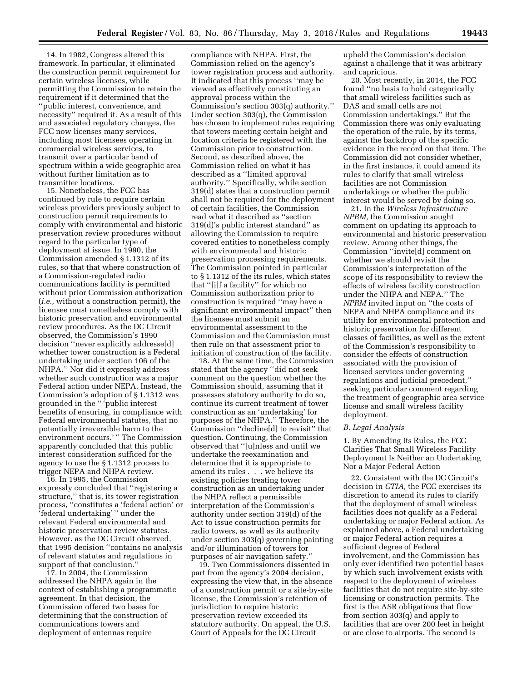14. In 1982, Congress altered this framework. In particular, it eliminated the construction permit requirement for certain wireless licenses, while permitting the Commission to retain the requirement if it determined that the ''public interest, convenience, and necessity'' required it. As a result of this and associated regulatory changes, the FCC now licenses many services, including most licensees operating in commercial wireless services, to transmit over a particular band of spectrum within a wide geographic area without further limitation as to transmitter locations.

15. Nonetheless, the FCC has continued by rule to require certain wireless providers previously subject to construction permit requirements to comply with environmental and historic preservation review procedures without regard to the particular type of deployment at issue. In 1990, the Commission amended § 1.1312 of its rules, so that that where construction of a Commission-regulated radio communications facility is permitted without prior Commission authorization (*i.e.,* without a construction permit), the licensee must nonetheless comply with historic preservation and environmental review procedures. As the DC Circuit observed, the Commission's 1990 decision ''never explicitly addresse[d] whether tower construction is a Federal undertaking under section 106 of the NHPA.'' Nor did it expressly address whether such construction was a major Federal action under NEPA. Instead, the Commission's adoption of § 1.1312 was grounded in the '' 'public interest benefits of ensuring, in compliance with Federal environmental statutes, that no potentially irreversible harm to the environment occurs.'" The Commission apparently concluded that this public interest consideration sufficed for the agency to use the § 1.1312 process to trigger NEPA and NHPA review.

16. In 1995, the Commission expressly concluded that ''registering a structure,'' that is, its tower registration process, ''constitutes a 'federal action' or 'federal undertaking' '' under the relevant Federal environmental and historic preservation review statutes. However, as the DC Circuit observed, that 1995 decision ''contains no analysis of relevant statutes and regulations in support of that conclusion.''

17. In 2004, the Commission addressed the NHPA again in the context of establishing a programmatic agreement. In that decision, the Commission offered two bases for determining that the construction of communications towers and deployment of antennas require

compliance with NHPA. First, the Commission relied on the agency's tower registration process and authority. It indicated that this process ''may be viewed as effectively constituting an approval process within the Commission's section 303(q) authority.'' Under section 303(q), the Commission has chosen to implement rules requiring that towers meeting certain height and location criteria be registered with the Commission prior to construction. Second, as described above, the Commission relied on what it has described as a ''limited approval authority.'' Specifically, while section 319(d) states that a construction permit shall not be required for the deployment of certain facilities, the Commission read what it described as ''section 319(d)'s public interest standard'' as allowing the Commission to require covered entities to nonetheless comply with environmental and historic preservation processing requirements. The Commission pointed in particular to § 1.1312 of the its rules, which states that ''[i]f a facility'' for which no Commission authorization prior to construction is required ''may have a significant environmental impact'' then the licensee must submit an environmental assessment to the Commission and the Commission must then rule on that assessment prior to initiation of construction of the facility.

18. At the same time, the Commission stated that the agency ''did not seek comment on the question whether the Commission should, assuming that it possesses statutory authority to do so, continue its current treatment of tower construction as an 'undertaking' for purposes of the NHPA.'' Therefore, the Commission ''decline[d] to revisit'' that question. Continuing, the Commission observed that ''[u]nless and until we undertake the reexamination and determine that it is appropriate to amend its rules . . . we believe its existing policies treating tower construction as an undertaking under the NHPA reflect a permissible interpretation of the Commission's authority under section 319(d) of the Act to issue construction permits for radio towers, as well as its authority under section 303(q) governing painting and/or illumination of towers for purposes of air navigation safety.''

19. Two Commissioners dissented in part from the agency's 2004 decision, expressing the view that, in the absence of a construction permit or a site-by-site license, the Commission's retention of jurisdiction to require historic preservation review exceeded its statutory authority. On appeal, the U.S. Court of Appeals for the DC Circuit

upheld the Commission's decision against a challenge that it was arbitrary and capricious.

20. Most recently, in 2014, the FCC found ''no basis to hold categorically that small wireless facilities such as DAS and small cells are not Commission undertakings.'' But the Commission there was only evaluating the operation of the rule, by its terms, against the backdrop of the specific evidence in the record on that item. The Commission did not consider whether, in the first instance, it could amend its rules to clarify that small wireless facilities are not Commission undertakings or whether the public interest would be served by doing so.

21. In the *Wireless Infrastructure NPRM,* the Commission sought comment on updating its approach to environmental and historic preservation review. Among other things, the Commission ''invite[d] comment on whether we should revisit the Commission's interpretation of the scope of its responsibility to review the effects of wireless facility construction under the NHPA and NEPA.'' The *NPRM* invited input on ''the costs of NEPA and NHPA compliance and its utility for environmental protection and historic preservation for different classes of facilities, as well as the extent of the Commission's responsibility to consider the effects of construction associated with the provision of licensed services under governing regulations and judicial precedent,'' seeking particular comment regarding the treatment of geographic area service license and small wireless facility deployment.

#### *B. Legal Analysis*

1. By Amending Its Rules, the FCC Clarifies That Small Wireless Facility Deployment Is Neither an Undertaking Nor a Major Federal Action

22. Consistent with the DC Circuit's decision in *CTIA,* the FCC exercises its discretion to amend its rules to clarify that the deployment of small wireless facilities does not qualify as a Federal undertaking or major Federal action. As explained above, a Federal undertaking or major Federal action requires a sufficient degree of Federal involvement, and the Commission has only ever identified two potential bases by which such involvement exists with respect to the deployment of wireless facilities that do not require site-by-site licensing or construction permits. The first is the ASR obligations that flow from section 303(q) and apply to facilities that are over 200 feet in height or are close to airports. The second is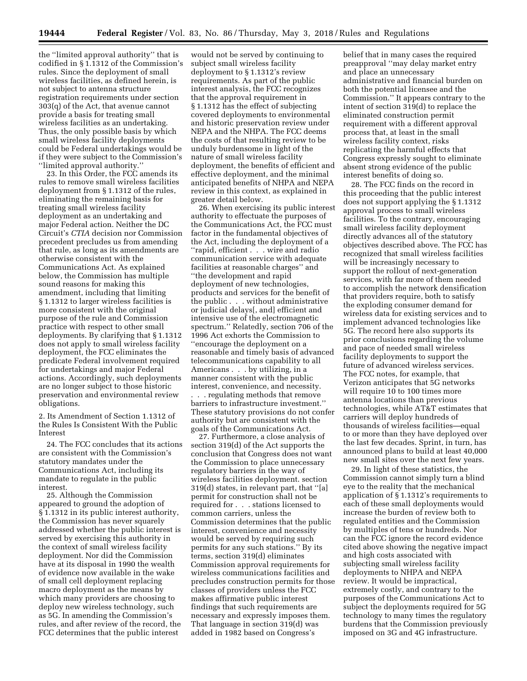the ''limited approval authority'' that is codified in § 1.1312 of the Commission's rules. Since the deployment of small wireless facilities, as defined herein, is not subject to antenna structure registration requirements under section 303(q) of the Act, that avenue cannot provide a basis for treating small wireless facilities as an undertaking. Thus, the only possible basis by which small wireless facility deployments could be Federal undertakings would be if they were subject to the Commission's ''limited approval authority.''

23. In this Order, the FCC amends its rules to remove small wireless facilities deployment from § 1.1312 of the rules, eliminating the remaining basis for treating small wireless facility deployment as an undertaking and major Federal action. Neither the DC Circuit's *CTIA* decision nor Commission precedent precludes us from amending that rule, as long as its amendments are otherwise consistent with the Communications Act. As explained below, the Commission has multiple sound reasons for making this amendment, including that limiting § 1.1312 to larger wireless facilities is more consistent with the original purpose of the rule and Commission practice with respect to other small deployments. By clarifying that § 1.1312 does not apply to small wireless facility deployment, the FCC eliminates the predicate Federal involvement required for undertakings and major Federal actions. Accordingly, such deployments are no longer subject to those historic preservation and environmental review obligations.

2. Its Amendment of Section 1.1312 of the Rules Is Consistent With the Public Interest

24. The FCC concludes that its actions are consistent with the Commission's statutory mandates under the Communications Act, including its mandate to regulate in the public interest.

25. Although the Commission appeared to ground the adoption of § 1.1312 in its public interest authority, the Commission has never squarely addressed whether the public interest is served by exercising this authority in the context of small wireless facility deployment. Nor did the Commission have at its disposal in 1990 the wealth of evidence now available in the wake of small cell deployment replacing macro deployment as the means by which many providers are choosing to deploy new wireless technology, such as 5G. In amending the Commission's rules, and after review of the record, the FCC determines that the public interest

would not be served by continuing to subject small wireless facility deployment to § 1.1312's review requirements. As part of the public interest analysis, the FCC recognizes that the approval requirement in § 1.1312 has the effect of subjecting covered deployments to environmental and historic preservation review under NEPA and the NHPA. The FCC deems the costs of that resulting review to be unduly burdensome in light of the nature of small wireless facility deployment, the benefits of efficient and effective deployment, and the minimal anticipated benefits of NHPA and NEPA review in this context, as explained in greater detail below.

26. When exercising its public interest authority to effectuate the purposes of the Communications Act, the FCC must factor in the fundamental objectives of the Act, including the deployment of a ''rapid, efficient . . . wire and radio communication service with adequate facilities at reasonable charges'' and ''the development and rapid deployment of new technologies, products and services for the benefit of the public . . . without administrative or judicial delays[, and] efficient and intensive use of the electromagnetic spectrum.'' Relatedly, section 706 of the 1996 Act exhorts the Commission to ''encourage the deployment on a reasonable and timely basis of advanced telecommunications capability to all Americans . . . by utilizing, in a manner consistent with the public interest, convenience, and necessity.

. . . regulating methods that remove barriers to infrastructure investment.'' These statutory provisions do not confer authority but are consistent with the goals of the Communications Act.

27. Furthermore, a close analysis of section 319(d) of the Act supports the conclusion that Congress does not want the Commission to place unnecessary regulatory barriers in the way of wireless facilities deployment. section 319(d) states, in relevant part, that ''[a] permit for construction shall not be required for . . . stations licensed to common carriers, unless the Commission determines that the public interest, convenience and necessity would be served by requiring such permits for any such stations.'' By its terms, section 319(d) eliminates Commission approval requirements for wireless communications facilities and precludes construction permits for those classes of providers unless the FCC makes affirmative public interest findings that such requirements are necessary and expressly imposes them. That language in section 319(d) was added in 1982 based on Congress's

belief that in many cases the required preapproval ''may delay market entry and place an unnecessary administrative and financial burden on both the potential licensee and the Commission.'' It appears contrary to the intent of section 319(d) to replace the eliminated construction permit requirement with a different approval process that, at least in the small wireless facility context, risks replicating the harmful effects that Congress expressly sought to eliminate absent strong evidence of the public interest benefits of doing so.

28. The FCC finds on the record in this proceeding that the public interest does not support applying the § 1.1312 approval process to small wireless facilities. To the contrary, encouraging small wireless facility deployment directly advances all of the statutory objectives described above. The FCC has recognized that small wireless facilities will be increasingly necessary to support the rollout of next-generation services, with far more of them needed to accomplish the network densification that providers require, both to satisfy the exploding consumer demand for wireless data for existing services and to implement advanced technologies like 5G. The record here also supports its prior conclusions regarding the volume and pace of needed small wireless facility deployments to support the future of advanced wireless services. The FCC notes, for example, that Verizon anticipates that 5G networks will require 10 to 100 times more antenna locations than previous technologies, while AT&T estimates that carriers will deploy hundreds of thousands of wireless facilities—equal to or more than they have deployed over the last few decades. Sprint, in turn, has announced plans to build at least 40,000 new small sites over the next few years.

29. In light of these statistics, the Commission cannot simply turn a blind eye to the reality that the mechanical application of § 1.1312's requirements to each of these small deployments would increase the burden of review both to regulated entities and the Commission by multiples of tens or hundreds. Nor can the FCC ignore the record evidence cited above showing the negative impact and high costs associated with subjecting small wireless facility deployments to NHPA and NEPA review. It would be impractical, extremely costly, and contrary to the purposes of the Communications Act to subject the deployments required for 5G technology to many times the regulatory burdens that the Commission previously imposed on 3G and 4G infrastructure.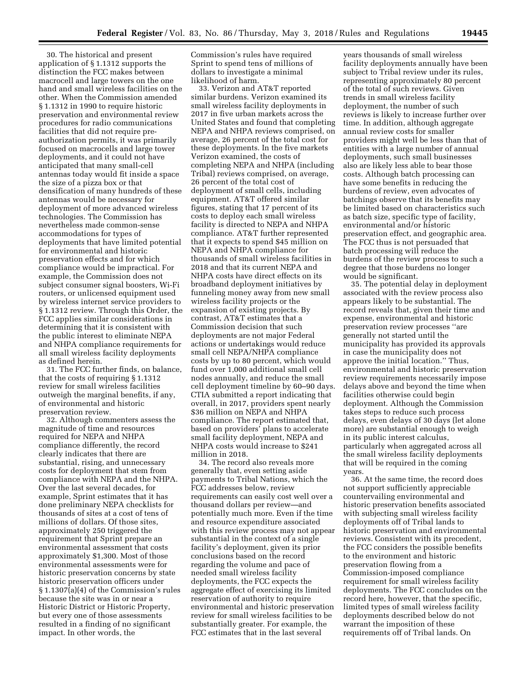30. The historical and present application of § 1.1312 supports the distinction the FCC makes between macrocell and large towers on the one hand and small wireless facilities on the other. When the Commission amended § 1.1312 in 1990 to require historic preservation and environmental review procedures for radio communications facilities that did not require preauthorization permits, it was primarily focused on macrocells and large tower deployments, and it could not have anticipated that many small-cell antennas today would fit inside a space the size of a pizza box or that densification of many hundreds of these antennas would be necessary for deployment of more advanced wireless technologies. The Commission has nevertheless made common-sense accommodations for types of deployments that have limited potential for environmental and historic preservation effects and for which compliance would be impractical. For example, the Commission does not subject consumer signal boosters, Wi-Fi routers, or unlicensed equipment used by wireless internet service providers to § 1.1312 review. Through this Order, the FCC applies similar considerations in determining that it is consistent with the public interest to eliminate NEPA and NHPA compliance requirements for all small wireless facility deployments as defined herein.

31. The FCC further finds, on balance, that the costs of requiring § 1.1312 review for small wireless facilities outweigh the marginal benefits, if any, of environmental and historic preservation review.

32. Although commenters assess the magnitude of time and resources required for NEPA and NHPA compliance differently, the record clearly indicates that there are substantial, rising, and unnecessary costs for deployment that stem from compliance with NEPA and the NHPA. Over the last several decades, for example, Sprint estimates that it has done preliminary NEPA checklists for thousands of sites at a cost of tens of millions of dollars. Of those sites, approximately 250 triggered the requirement that Sprint prepare an environmental assessment that costs approximately \$1,300. Most of those environmental assessments were for historic preservation concerns by state historic preservation officers under § 1.1307(a)(4) of the Commission's rules because the site was in or near a Historic District or Historic Property, but every one of those assessments resulted in a finding of no significant impact. In other words, the

Commission's rules have required Sprint to spend tens of millions of dollars to investigate a minimal likelihood of harm.

33. Verizon and AT&T reported similar burdens. Verizon examined its small wireless facility deployments in 2017 in five urban markets across the United States and found that completing NEPA and NHPA reviews comprised, on average, 26 percent of the total cost for these deployments. In the five markets Verizon examined, the costs of completing NEPA and NHPA (including Tribal) reviews comprised, on average, 26 percent of the total cost of deployment of small cells, including equipment. AT&T offered similar figures, stating that 17 percent of its costs to deploy each small wireless facility is directed to NEPA and NHPA compliance. AT&T further represented that it expects to spend \$45 million on NEPA and NHPA compliance for thousands of small wireless facilities in 2018 and that its current NEPA and NHPA costs have direct effects on its broadband deployment initiatives by funneling money away from new small wireless facility projects or the expansion of existing projects. By contrast, AT&T estimates that a Commission decision that such deployments are not major Federal actions or undertakings would reduce small cell NEPA/NHPA compliance costs by up to 80 percent, which would fund over 1,000 additional small cell nodes annually, and reduce the small cell deployment timeline by 60–90 days. CTIA submitted a report indicating that overall, in 2017, providers spent nearly \$36 million on NEPA and NHPA compliance. The report estimated that, based on providers' plans to accelerate small facility deployment, NEPA and NHPA costs would increase to \$241 million in 2018.

34. The record also reveals more generally that, even setting aside payments to Tribal Nations, which the FCC addresses below, review requirements can easily cost well over a thousand dollars per review—and potentially much more. Even if the time and resource expenditure associated with this review process may not appear substantial in the context of a single facility's deployment, given its prior conclusions based on the record regarding the volume and pace of needed small wireless facility deployments, the FCC expects the aggregate effect of exercising its limited reservation of authority to require environmental and historic preservation review for small wireless facilities to be substantially greater. For example, the FCC estimates that in the last several

years thousands of small wireless facility deployments annually have been subject to Tribal review under its rules, representing approximately 80 percent of the total of such reviews. Given trends in small wireless facility deployment, the number of such reviews is likely to increase further over time. In addition, although aggregate annual review costs for smaller providers might well be less than that of entities with a large number of annual deployments, such small businesses also are likely less able to bear those costs. Although batch processing can have some benefits in reducing the burdens of review, even advocates of batchings observe that its benefits may be limited based on characteristics such as batch size, specific type of facility, environmental and/or historic preservation effect, and geographic area. The FCC thus is not persuaded that batch processing will reduce the burdens of the review process to such a degree that those burdens no longer would be significant.

35. The potential delay in deployment associated with the review process also appears likely to be substantial. The record reveals that, given their time and expense, environmental and historic preservation review processes ''are generally not started until the municipality has provided its approvals in case the municipality does not approve the initial location.'' Thus, environmental and historic preservation review requirements necessarily impose delays above and beyond the time when facilities otherwise could begin deployment. Although the Commission takes steps to reduce such process delays, even delays of 30 days (let alone more) are substantial enough to weigh in its public interest calculus, particularly when aggregated across all the small wireless facility deployments that will be required in the coming years.

36. At the same time, the record does not support sufficiently appreciable countervailing environmental and historic preservation benefits associated with subjecting small wireless facility deployments off of Tribal lands to historic preservation and environmental reviews. Consistent with its precedent, the FCC considers the possible benefits to the environment and historic preservation flowing from a Commission-imposed compliance requirement for small wireless facility deployments. The FCC concludes on the record here, however, that the specific, limited types of small wireless facility deployments described below do not warrant the imposition of these requirements off of Tribal lands. On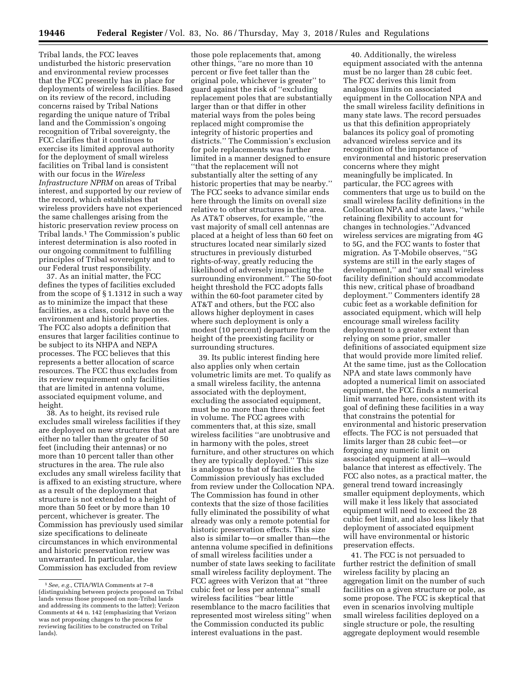Tribal lands, the FCC leaves undisturbed the historic preservation and environmental review processes that the FCC presently has in place for deployments of wireless facilities. Based on its review of the record, including concerns raised by Tribal Nations regarding the unique nature of Tribal land and the Commission's ongoing recognition of Tribal sovereignty, the FCC clarifies that it continues to exercise its limited approval authority for the deployment of small wireless facilities on Tribal land is consistent with our focus in the *Wireless Infrastructure NPRM* on areas of Tribal interest, and supported by our review of the record, which establishes that wireless providers have not experienced the same challenges arising from the historic preservation review process on Tribal lands.1 The Commission's public interest determination is also rooted in our ongoing commitment to fulfilling principles of Tribal sovereignty and to our Federal trust responsibility.

37. As an initial matter, the FCC defines the types of facilities excluded from the scope of § 1.1312 in such a way as to minimize the impact that these facilities, as a class, could have on the environment and historic properties. The FCC also adopts a definition that ensures that larger facilities continue to be subject to its NHPA and NEPA processes. The FCC believes that this represents a better allocation of scarce resources. The FCC thus excludes from its review requirement only facilities that are limited in antenna volume, associated equipment volume, and height.

38. As to height, its revised rule excludes small wireless facilities if they are deployed on new structures that are either no taller than the greater of 50 feet (including their antennas) or no more than 10 percent taller than other structures in the area. The rule also excludes any small wireless facility that is affixed to an existing structure, where as a result of the deployment that structure is not extended to a height of more than 50 feet or by more than 10 percent, whichever is greater. The Commission has previously used similar size specifications to delineate circumstances in which environmental and historic preservation review was unwarranted. In particular, the Commission has excluded from review

those pole replacements that, among other things, ''are no more than 10 percent or five feet taller than the original pole, whichever is greater'' to guard against the risk of ''excluding replacement poles that are substantially larger than or that differ in other material ways from the poles being replaced might compromise the integrity of historic properties and districts.'' The Commission's exclusion for pole replacements was further limited in a manner designed to ensure ''that the replacement will not substantially alter the setting of any historic properties that may be nearby.'' The FCC seeks to advance similar ends here through the limits on overall size relative to other structures in the area. As AT&T observes, for example, ''the vast majority of small cell antennas are placed at a height of less than 60 feet on structures located near similarly sized structures in previously disturbed rights-of-way, greatly reducing the likelihood of adversely impacting the surrounding environment.'' The 50-foot height threshold the FCC adopts falls within the 60-foot parameter cited by AT&T and others, but the FCC also allows higher deployment in cases where such deployment is only a modest (10 percent) departure from the height of the preexisting facility or surrounding structures.

39. Its public interest finding here also applies only when certain volumetric limits are met. To qualify as a small wireless facility, the antenna associated with the deployment, excluding the associated equipment, must be no more than three cubic feet in volume. The FCC agrees with commenters that, at this size, small wireless facilities ''are unobtrusive and in harmony with the poles, street furniture, and other structures on which they are typically deployed.'' This size is analogous to that of facilities the Commission previously has excluded from review under the Collocation NPA. The Commission has found in other contexts that the size of those facilities fully eliminated the possibility of what already was only a remote potential for historic preservation effects. This size also is similar to—or smaller than—the antenna volume specified in definitions of small wireless facilities under a number of state laws seeking to facilitate small wireless facility deployment. The FCC agrees with Verizon that at ''three cubic feet or less per antenna'' small wireless facilities ''bear little resemblance to the macro facilities that represented most wireless siting'' when the Commission conducted its public interest evaluations in the past.

40. Additionally, the wireless equipment associated with the antenna must be no larger than 28 cubic feet. The FCC derives this limit from analogous limits on associated equipment in the Collocation NPA and the small wireless facility definitions in many state laws. The record persuades us that this definition appropriately balances its policy goal of promoting advanced wireless service and its recognition of the importance of environmental and historic preservation concerns where they might meaningfully be implicated. In particular, the FCC agrees with commenters that urge us to build on the small wireless facility definitions in the Collocation NPA and state laws, ''while retaining flexibility to account for changes in technologies.''Advanced wireless services are migrating from 4G to 5G, and the FCC wants to foster that migration. As T-Mobile observes, ''5G systems are still in the early stages of development,'' and ''any small wireless facility definition should accommodate this new, critical phase of broadband deployment.'' Commenters identify 28 cubic feet as a workable definition for associated equipment, which will help encourage small wireless facility deployment to a greater extent than relying on some prior, smaller definitions of associated equipment size that would provide more limited relief. At the same time, just as the Collocation NPA and state laws commonly have adopted a numerical limit on associated equipment, the FCC finds a numerical limit warranted here, consistent with its goal of defining these facilities in a way that constrains the potential for environmental and historic preservation effects. The FCC is not persuaded that limits larger than 28 cubic feet—or forgoing any numeric limit on associated equipment at all—would balance that interest as effectively. The FCC also notes, as a practical matter, the general trend toward increasingly smaller equipment deployments, which will make it less likely that associated equipment will need to exceed the 28 cubic feet limit, and also less likely that deployment of associated equipment will have environmental or historic preservation effects.

41. The FCC is not persuaded to further restrict the definition of small wireless facility by placing an aggregation limit on the number of such facilities on a given structure or pole, as some propose. The FCC is skeptical that even in scenarios involving multiple small wireless facilities deployed on a single structure or pole, the resulting aggregate deployment would resemble

<sup>1</sup>*See, e.g.,* CTIA/WIA Comments at 7–8 (distinguishing between projects proposed on Tribal lands versus those proposed on non-Tribal lands and addressing its comments to the latter); Verizon Comments at 44 n. 142 (emphasizing that Verizon was not proposing changes to the process for reviewing facilities to be constructed on Tribal lands).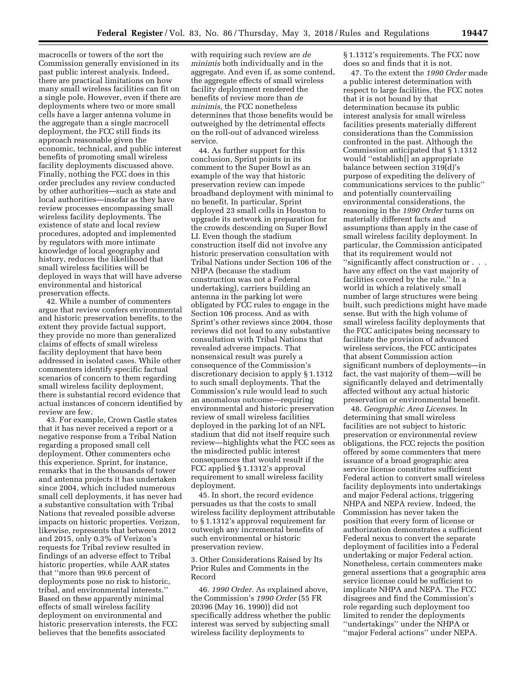macrocells or towers of the sort the Commission generally envisioned in its past public interest analysis. Indeed, there are practical limitations on how many small wireless facilities can fit on a single pole. However, even if there are deployments where two or more small cells have a larger antenna volume in the aggregate than a single macrocell deployment, the FCC still finds its approach reasonable given the economic, technical, and public interest benefits of promoting small wireless facility deployments discussed above. Finally, nothing the FCC does in this order precludes any review conducted by other authorities—such as state and local authorities—insofar as they have review processes encompassing small wireless facility deployments. The existence of state and local review procedures, adopted and implemented by regulators with more intimate knowledge of local geography and history, reduces the likelihood that small wireless facilities will be deployed in ways that will have adverse environmental and historical preservation effects.

42. While a number of commenters argue that review confers environmental and historic preservation benefits, to the extent they provide factual support, they provide no more than generalized claims of effects of small wireless facility deployment that have been addressed in isolated cases. While other commenters identify specific factual scenarios of concern to them regarding small wireless facility deployment, there is substantial record evidence that actual instances of concern identified by review are few.

43. For example, Crown Castle states that it has never received a report or a negative response from a Tribal Nation regarding a proposed small cell deployment. Other commenters echo this experience. Sprint, for instance, remarks that in the thousands of tower and antenna projects it has undertaken since 2004, which included numerous small cell deployments, it has never had a substantive consultation with Tribal Nations that revealed possible adverse impacts on historic properties. Verizon, likewise, represents that between 2012 and 2015, only 0.3% of Verizon's requests for Tribal review resulted in findings of an adverse effect to Tribal historic properties, while AAR states that ''more than 99.6 percent of deployments pose no risk to historic, tribal, and environmental interests.'' Based on these apparently minimal effects of small wireless facility deployment on environmental and historic preservation interests, the FCC believes that the benefits associated

with requiring such review are *de minimis* both individually and in the aggregate. And even if, as some contend, the aggregate effects of small wireless facility deployment rendered the benefits of review more than *de minimis,* the FCC nonetheless determines that those benefits would be outweighed by the detrimental effects on the roll-out of advanced wireless service.

44. As further support for this conclusion, Sprint points in its comment to the Super Bowl as an example of the way that historic preservation review can impede broadband deployment with minimal to no benefit. In particular, Sprint deployed 23 small cells in Houston to upgrade its network in preparation for the crowds descending on Super Bowl LI. Even though the stadium construction itself did not involve any historic preservation consultation with Tribal Nations under Section 106 of the NHPA (because the stadium construction was not a Federal undertaking), carriers building an antenna in the parking lot were obligated by FCC rules to engage in the Section 106 process. And as with Sprint's other reviews since 2004, those reviews did not lead to any substantive consultation with Tribal Nations that revealed adverse impacts. That nonsensical result was purely a consequence of the Commission's discretionary decision to apply § 1.1312 to such small deployments. That the Commission's rule would lead to such an anomalous outcome—requiring environmental and historic preservation review of small wireless facilities deployed in the parking lot of an NFL stadium that did not itself require such review—highlights what the FCC sees as the misdirected public interest consequences that would result if the FCC applied § 1.1312's approval requirement to small wireless facility deployment.

45. In short, the record evidence persuades us that the costs to small wireless facility deployment attributable to § 1.1312's approval requirement far outweigh any incremental benefits of such environmental or historic preservation review.

3. Other Considerations Raised by Its Prior Rules and Comments in the Record

46. *1990 Order.* As explained above, the Commission's *1990 Order* (55 FR 20396 (May 16, 1990)) did not specifically address whether the public interest was served by subjecting small wireless facility deployments to

§ 1.1312's requirements. The FCC now does so and finds that it is not.

47. To the extent the *1990 Order* made a public interest determination with respect to large facilities, the FCC notes that it is not bound by that determination because its public interest analysis for small wireless facilities presents materially different considerations than the Commission confronted in the past. Although the Commission anticipated that § 1.1312 would ''establish[] an appropriate balance between section 319(d)'s purpose of expediting the delivery of communications services to the public'' and potentially countervailing environmental considerations, the reasoning in the *1990 Order* turns on materially different facts and assumptions than apply in the case of small wireless facility deployment. In particular, the Commission anticipated that its requirement would not ''significantly affect construction or . . . have any effect on the vast majority of facilities covered by the rule.'' In a world in which a relatively small number of large structures were being built, such predictions might have made sense. But with the high volume of small wireless facility deployments that the FCC anticipates being necessary to facilitate the provision of advanced wireless services, the FCC anticipates that absent Commission action significant numbers of deployments—in fact, the vast majority of them—will be significantly delayed and detrimentally affected without any actual historic preservation or environmental benefit.

48. *Geographic Area Licenses.* In determining that small wireless facilities are not subject to historic preservation or environmental review obligations, the FCC rejects the position offered by some commenters that mere issuance of a broad geographic area service license constitutes sufficient Federal action to convert small wireless facility deployments into undertakings and major Federal actions, triggering NHPA and NEPA review. Indeed, the Commission has never taken the position that every form of license or authorization demonstrates a sufficient Federal nexus to convert the separate deployment of facilities into a Federal undertaking or major Federal action. Nonetheless, certain commenters make general assertions that a geographic area service license could be sufficient to implicate NHPA and NEPA. The FCC disagrees and find the Commission's role regarding such deployment too limited to render the deployments ''undertakings'' under the NHPA or ''major Federal actions'' under NEPA.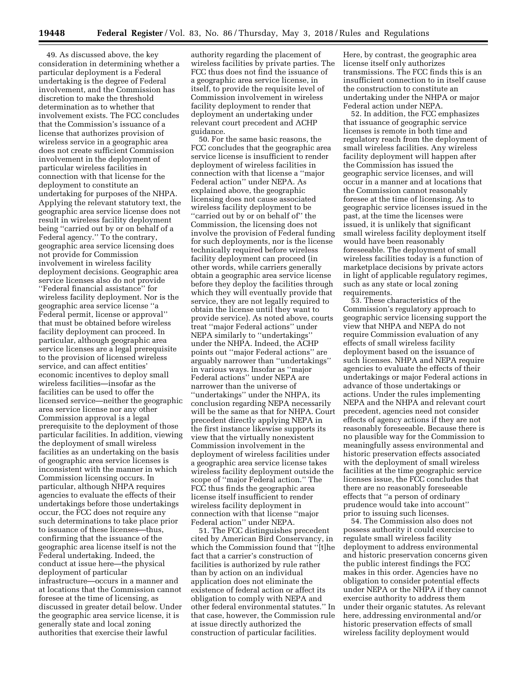49. As discussed above, the key consideration in determining whether a particular deployment is a Federal undertaking is the degree of Federal involvement, and the Commission has discretion to make the threshold determination as to whether that involvement exists. The FCC concludes that the Commission's issuance of a license that authorizes provision of wireless service in a geographic area does not create sufficient Commission involvement in the deployment of particular wireless facilities in connection with that license for the deployment to constitute an undertaking for purposes of the NHPA. Applying the relevant statutory text, the geographic area service license does not result in wireless facility deployment being ''carried out by or on behalf of a Federal agency.'' To the contrary, geographic area service licensing does not provide for Commission involvement in wireless facility deployment decisions. Geographic area service licenses also do not provide ''Federal financial assistance'' for wireless facility deployment. Nor is the geographic area service license ''a Federal permit, license or approval'' that must be obtained before wireless facility deployment can proceed. In particular, although geographic area service licenses are a legal prerequisite to the provision of licensed wireless service, and can affect entities' economic incentives to deploy small wireless facilities—insofar as the facilities can be used to offer the licensed service—neither the geographic area service license nor any other Commission approval is a legal prerequisite to the deployment of those particular facilities. In addition, viewing the deployment of small wireless facilities as an undertaking on the basis of geographic area service licenses is inconsistent with the manner in which Commission licensing occurs. In particular, although NHPA requires agencies to evaluate the effects of their undertakings before those undertakings occur, the FCC does not require any such determinations to take place prior to issuance of these licenses—thus, confirming that the issuance of the geographic area license itself is not the Federal undertaking. Indeed, the conduct at issue here—the physical deployment of particular infrastructure—occurs in a manner and at locations that the Commission cannot foresee at the time of licensing, as discussed in greater detail below. Under the geographic area service license, it is generally state and local zoning authorities that exercise their lawful

authority regarding the placement of wireless facilities by private parties. The FCC thus does not find the issuance of a geographic area service license, in itself, to provide the requisite level of Commission involvement in wireless facility deployment to render that deployment an undertaking under relevant court precedent and ACHP guidance.

50. For the same basic reasons, the FCC concludes that the geographic area service license is insufficient to render deployment of wireless facilities in connection with that license a ''major Federal action'' under NEPA. As explained above, the geographic licensing does not cause associated wireless facility deployment to be ''carried out by or on behalf of'' the Commission, the licensing does not involve the provision of Federal funding for such deployments, nor is the license technically required before wireless facility deployment can proceed (in other words, while carriers generally obtain a geographic area service license before they deploy the facilities through which they will eventually provide that service, they are not legally required to obtain the license until they want to provide service). As noted above, courts treat ''major Federal actions'' under NEPA similarly to ''undertakings'' under the NHPA. Indeed, the ACHP points out ''major Federal actions'' are arguably narrower than ''undertakings'' in various ways. Insofar as ''major Federal actions'' under NEPA are narrower than the universe of ''undertakings'' under the NHPA, its conclusion regarding NEPA necessarily will be the same as that for NHPA. Court precedent directly applying NEPA in the first instance likewise supports its view that the virtually nonexistent Commission involvement in the deployment of wireless facilities under a geographic area service license takes wireless facility deployment outside the scope of ''major Federal action.'' The FCC thus finds the geographic area license itself insufficient to render wireless facility deployment in connection with that license ''major Federal action'' under NEPA.

51. The FCC distinguishes precedent cited by American Bird Conservancy, in which the Commission found that ''[t]he fact that a carrier's construction of facilities is authorized by rule rather than by action on an individual application does not eliminate the existence of federal action or affect its obligation to comply with NEPA and other federal environmental statutes.'' In that case, however, the Commission rule at issue directly authorized the construction of particular facilities.

Here, by contrast, the geographic area license itself only authorizes transmissions. The FCC finds this is an insufficient connection to in itself cause the construction to constitute an undertaking under the NHPA or major Federal action under NEPA.

52. In addition, the FCC emphasizes that issuance of geographic service licenses is remote in both time and regulatory reach from the deployment of small wireless facilities. Any wireless facility deployment will happen after the Commission has issued the geographic service licenses, and will occur in a manner and at locations that the Commission cannot reasonably foresee at the time of licensing. As to geographic service licenses issued in the past, at the time the licenses were issued, it is unlikely that significant small wireless facility deployment itself would have been reasonably foreseeable. The deployment of small wireless facilities today is a function of marketplace decisions by private actors in light of applicable regulatory regimes, such as any state or local zoning requirements.

53. These characteristics of the Commission's regulatory approach to geographic service licensing support the view that NHPA and NEPA do not require Commission evaluation of any effects of small wireless facility deployment based on the issuance of such licenses. NHPA and NEPA require agencies to evaluate the effects of their undertakings or major Federal actions in advance of those undertakings or actions. Under the rules implementing NEPA and the NHPA and relevant court precedent, agencies need not consider effects of agency actions if they are not reasonably foreseeable. Because there is no plausible way for the Commission to meaningfully assess environmental and historic preservation effects associated with the deployment of small wireless facilities at the time geographic service licenses issue, the FCC concludes that there are no reasonably foreseeable effects that ''a person of ordinary prudence would take into account'' prior to issuing such licenses.

54. The Commission also does not possess authority it could exercise to regulate small wireless facility deployment to address environmental and historic preservation concerns given the public interest findings the FCC makes in this order. Agencies have no obligation to consider potential effects under NEPA or the NHPA if they cannot exercise authority to address them under their organic statutes. As relevant here, addressing environmental and/or historic preservation effects of small wireless facility deployment would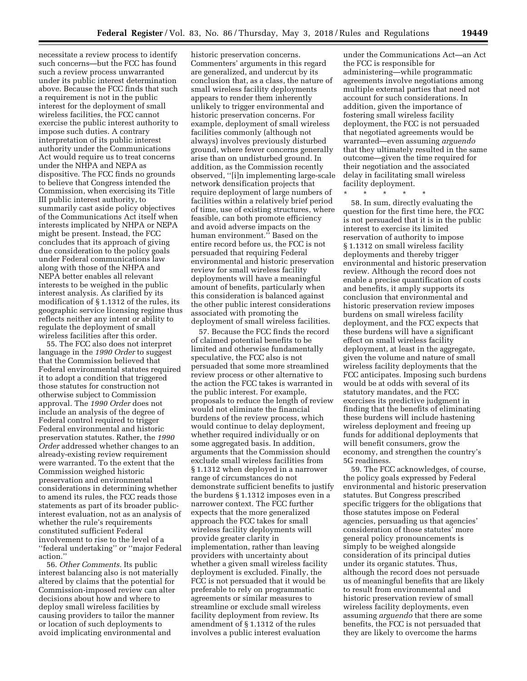necessitate a review process to identify such concerns—but the FCC has found such a review process unwarranted under its public interest determination above. Because the FCC finds that such a requirement is not in the public interest for the deployment of small wireless facilities, the FCC cannot exercise the public interest authority to impose such duties. A contrary interpretation of its public interest authority under the Communications Act would require us to treat concerns under the NHPA and NEPA as dispositive. The FCC finds no grounds to believe that Congress intended the Commission, when exercising its Title III public interest authority, to summarily cast aside policy objectives of the Communications Act itself when interests implicated by NHPA or NEPA might be present. Instead, the FCC concludes that its approach of giving due consideration to the policy goals under Federal communications law along with those of the NHPA and NEPA better enables all relevant interests to be weighed in the public interest analysis. As clarified by its modification of § 1.1312 of the rules, its geographic service licensing regime thus reflects neither any intent or ability to regulate the deployment of small wireless facilities after this order.

55. The FCC also does not interpret language in the *1990 Order* to suggest that the Commission believed that Federal environmental statutes required it to adopt a condition that triggered those statutes for construction not otherwise subject to Commission approval. The *1990 Order* does not include an analysis of the degree of Federal control required to trigger Federal environmental and historic preservation statutes. Rather, the *1990 Order* addressed whether changes to an already-existing review requirement were warranted. To the extent that the Commission weighed historic preservation and environmental considerations in determining whether to amend its rules, the FCC reads those statements as part of its broader publicinterest evaluation, not as an analysis of whether the rule's requirements constituted sufficient Federal involvement to rise to the level of a ''federal undertaking'' or ''major Federal action.''

56. *Other Comments.* Its public interest balancing also is not materially altered by claims that the potential for Commission-imposed review can alter decisions about how and where to deploy small wireless facilities by causing providers to tailor the manner or location of such deployments to avoid implicating environmental and

historic preservation concerns. Commenters' arguments in this regard are generalized, and undercut by its conclusion that, as a class, the nature of small wireless facility deployments appears to render them inherently unlikely to trigger environmental and historic preservation concerns. For example, deployment of small wireless facilities commonly (although not always) involves previously disturbed ground, where fewer concerns generally arise than on undisturbed ground. In addition, as the Commission recently observed, ''[i]n implementing large-scale network densification projects that require deployment of large numbers of facilities within a relatively brief period of time, use of existing structures, where feasible, can both promote efficiency and avoid adverse impacts on the human environment.'' Based on the entire record before us, the FCC is not persuaded that requiring Federal environmental and historic preservation review for small wireless facility deployments will have a meaningful amount of benefits, particularly when this consideration is balanced against the other public interest considerations associated with promoting the deployment of small wireless facilities.

57. Because the FCC finds the record of claimed potential benefits to be limited and otherwise fundamentally speculative, the FCC also is not persuaded that some more streamlined review process or other alternative to the action the FCC takes is warranted in the public interest. For example, proposals to reduce the length of review would not eliminate the financial burdens of the review process, which would continue to delay deployment, whether required individually or on some aggregated basis. In addition, arguments that the Commission should exclude small wireless facilities from § 1.1312 when deployed in a narrower range of circumstances do not demonstrate sufficient benefits to justify the burdens § 1.1312 imposes even in a narrower context. The FCC further expects that the more generalized approach the FCC takes for small wireless facility deployments will provide greater clarity in implementation, rather than leaving providers with uncertainty about whether a given small wireless facility deployment is excluded. Finally, the FCC is not persuaded that it would be preferable to rely on programmatic agreements or similar measures to streamline or exclude small wireless facility deployment from review. Its amendment of § 1.1312 of the rules involves a public interest evaluation

under the Communications Act—an Act the FCC is responsible for administering—while programmatic agreements involve negotiations among multiple external parties that need not account for such considerations. In addition, given the importance of fostering small wireless facility deployment, the FCC is not persuaded that negotiated agreements would be warranted—even assuming *arguendo*  that they ultimately resulted in the same outcome—given the time required for their negotiation and the associated delay in facilitating small wireless facility deployment.

\* \* \* \* \*

58. In sum, directly evaluating the question for the first time here, the FCC is not persuaded that it is in the public interest to exercise its limited reservation of authority to impose § 1.1312 on small wireless facility deployments and thereby trigger environmental and historic preservation review. Although the record does not enable a precise quantification of costs and benefits, it amply supports its conclusion that environmental and historic preservation review imposes burdens on small wireless facility deployment, and the FCC expects that these burdens will have a significant effect on small wireless facility deployment, at least in the aggregate, given the volume and nature of small wireless facility deployments that the FCC anticipates. Imposing such burdens would be at odds with several of its statutory mandates, and the FCC exercises its predictive judgment in finding that the benefits of eliminating these burdens will include hastening wireless deployment and freeing up funds for additional deployments that will benefit consumers, grow the economy, and strengthen the country's 5G readiness.

59. The FCC acknowledges, of course, the policy goals expressed by Federal environmental and historic preservation statutes. But Congress prescribed specific triggers for the obligations that those statutes impose on Federal agencies, persuading us that agencies' consideration of those statutes' more general policy pronouncements is simply to be weighed alongside consideration of its principal duties under its organic statutes. Thus, although the record does not persuade us of meaningful benefits that are likely to result from environmental and historic preservation review of small wireless facility deployments, even assuming *arguendo* that there are some benefits, the FCC is not persuaded that they are likely to overcome the harms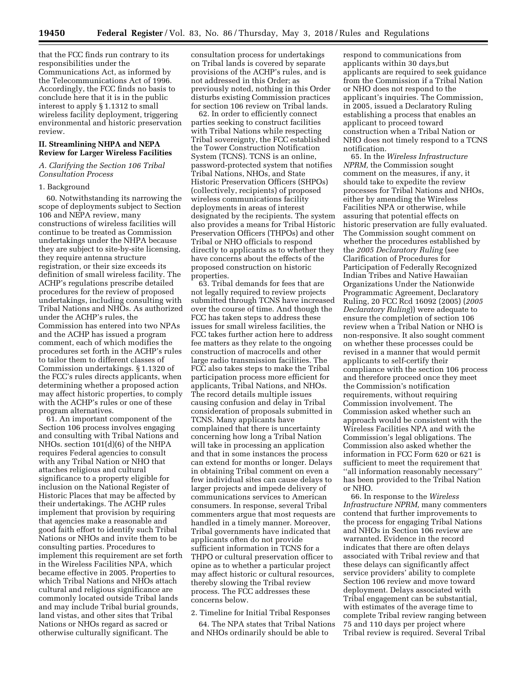**19450 Federal Register** / Vol. 83, No. 86 / Thursday, May 3, 2018 / Rules and Regulations

that the FCC finds run contrary to its responsibilities under the Communications Act, as informed by the Telecommunications Act of 1996. Accordingly, the FCC finds no basis to conclude here that it is in the public interest to apply § 1.1312 to small wireless facility deployment, triggering environmental and historic preservation review.

### **II. Streamlining NHPA and NEPA Review for Larger Wireless Facilities**

# *A. Clarifying the Section 106 Tribal Consultation Process*

#### 1. Background

60. Notwithstanding its narrowing the scope of deployments subject to Section 106 and NEPA review, many constructions of wireless facilities will continue to be treated as Commission undertakings under the NHPA because they are subject to site-by-site licensing, they require antenna structure registration, or their size exceeds its definition of small wireless facility. The ACHP's regulations prescribe detailed procedures for the review of proposed undertakings, including consulting with Tribal Nations and NHOs. As authorized under the ACHP's rules, the Commission has entered into two NPAs and the ACHP has issued a program comment, each of which modifies the procedures set forth in the ACHP's rules to tailor them to different classes of Commission undertakings. § 1.1320 of the FCC's rules directs applicants, when determining whether a proposed action may affect historic properties, to comply with the ACHP's rules or one of these program alternatives.

61. An important component of the Section 106 process involves engaging and consulting with Tribal Nations and NHOs. section 101(d)(6) of the NHPA requires Federal agencies to consult with any Tribal Nation or NHO that attaches religious and cultural significance to a property eligible for inclusion on the National Register of Historic Places that may be affected by their undertakings. The ACHP rules implement that provision by requiring that agencies make a reasonable and good faith effort to identify such Tribal Nations or NHOs and invite them to be consulting parties. Procedures to implement this requirement are set forth in the Wireless Facilities NPA, which became effective in 2005. Properties to which Tribal Nations and NHOs attach cultural and religious significance are commonly located outside Tribal lands and may include Tribal burial grounds, land vistas, and other sites that Tribal Nations or NHOs regard as sacred or otherwise culturally significant. The

consultation process for undertakings on Tribal lands is covered by separate provisions of the ACHP's rules, and is not addressed in this Order; as previously noted, nothing in this Order disturbs existing Commission practices for section 106 review on Tribal lands.

62. In order to efficiently connect parties seeking to construct facilities with Tribal Nations while respecting Tribal sovereignty, the FCC established the Tower Construction Notification System (TCNS). TCNS is an online, password-protected system that notifies Tribal Nations, NHOs, and State Historic Preservation Officers (SHPOs) (collectively, recipients) of proposed wireless communications facility deployments in areas of interest designated by the recipients. The system also provides a means for Tribal Historic Preservation Officers (THPOs) and other Tribal or NHO officials to respond directly to applicants as to whether they have concerns about the effects of the proposed construction on historic properties.

63. Tribal demands for fees that are not legally required to review projects submitted through TCNS have increased over the course of time. And though the FCC has taken steps to address these issues for small wireless facilities, the FCC takes further action here to address fee matters as they relate to the ongoing construction of macrocells and other large radio transmission facilities. The FCC also takes steps to make the Tribal participation process more efficient for applicants, Tribal Nations, and NHOs. The record details multiple issues causing confusion and delay in Tribal consideration of proposals submitted in TCNS. Many applicants have complained that there is uncertainty concerning how long a Tribal Nation will take in processing an application and that in some instances the process can extend for months or longer. Delays in obtaining Tribal comment on even a few individual sites can cause delays to larger projects and impede delivery of communications services to American consumers. In response, several Tribal commenters argue that most requests are handled in a timely manner. Moreover, Tribal governments have indicated that applicants often do not provide sufficient information in TCNS for a THPO or cultural preservation officer to opine as to whether a particular project may affect historic or cultural resources, thereby slowing the Tribal review process. The FCC addresses these concerns below.

## 2. Timeline for Initial Tribal Responses

64. The NPA states that Tribal Nations and NHOs ordinarily should be able to

respond to communications from applicants within 30 days,but applicants are required to seek guidance from the Commission if a Tribal Nation or NHO does not respond to the applicant's inquiries. The Commission, in 2005, issued a Declaratory Ruling establishing a process that enables an applicant to proceed toward construction when a Tribal Nation or NHO does not timely respond to a TCNS notification.

65. In the *Wireless Infrastructure NPRM,* the Commission sought comment on the measures, if any, it should take to expedite the review processes for Tribal Nations and NHOs, either by amending the Wireless Facilities NPA or otherwise, while assuring that potential effects on historic preservation are fully evaluated. The Commission sought comment on whether the procedures established by the *2005 Declaratory Ruling* (see Clarification of Procedures for Participation of Federally Recognized Indian Tribes and Native Hawaiian Organizations Under the Nationwide Programmatic Agreement, Declaratory Ruling, 20 FCC Rcd 16092 (2005) (*2005 Declaratory Ruling*)) were adequate to ensure the completion of section 106 review when a Tribal Nation or NHO is non-responsive. It also sought comment on whether these processes could be revised in a manner that would permit applicants to self-certify their compliance with the section 106 process and therefore proceed once they meet the Commission's notification requirements, without requiring Commission involvement. The Commission asked whether such an approach would be consistent with the Wireless Facilities NPA and with the Commission's legal obligations. The Commission also asked whether the information in FCC Form 620 or 621 is sufficient to meet the requirement that ''all information reasonably necessary'' has been provided to the Tribal Nation or NHO.

66. In response to the *Wireless Infrastructure NPRM,* many commenters contend that further improvements to the process for engaging Tribal Nations and NHOs in Section 106 review are warranted. Evidence in the record indicates that there are often delays associated with Tribal review and that these delays can significantly affect service providers' ability to complete Section 106 review and move toward deployment. Delays associated with Tribal engagement can be substantial, with estimates of the average time to complete Tribal review ranging between 75 and 110 days per project where Tribal review is required. Several Tribal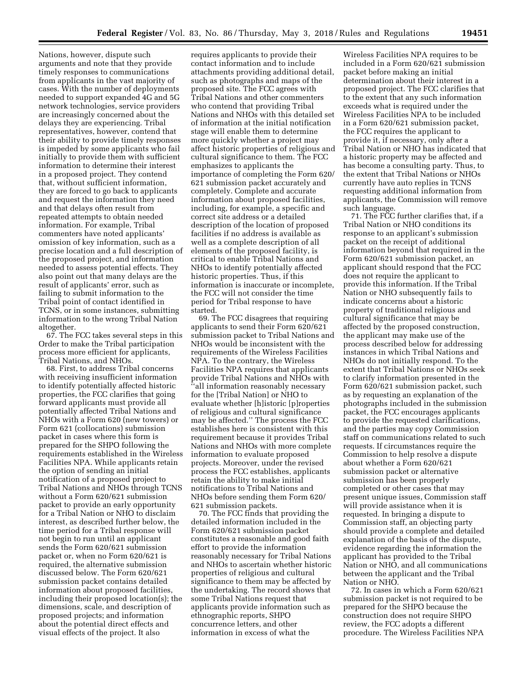Nations, however, dispute such arguments and note that they provide timely responses to communications from applicants in the vast majority of cases. With the number of deployments needed to support expanded 4G and 5G network technologies, service providers are increasingly concerned about the delays they are experiencing. Tribal representatives, however, contend that their ability to provide timely responses is impeded by some applicants who fail initially to provide them with sufficient information to determine their interest in a proposed project. They contend that, without sufficient information, they are forced to go back to applicants and request the information they need and that delays often result from repeated attempts to obtain needed information. For example, Tribal commenters have noted applicants' omission of key information, such as a precise location and a full description of the proposed project, and information needed to assess potential effects. They also point out that many delays are the result of applicants' error, such as failing to submit information to the Tribal point of contact identified in TCNS, or in some instances, submitting information to the wrong Tribal Nation altogether.

67. The FCC takes several steps in this Order to make the Tribal participation process more efficient for applicants, Tribal Nations, and NHOs.

68. First, to address Tribal concerns with receiving insufficient information to identify potentially affected historic properties, the FCC clarifies that going forward applicants must provide all potentially affected Tribal Nations and NHOs with a Form 620 (new towers) or Form 621 (collocations) submission packet in cases where this form is prepared for the SHPO following the requirements established in the Wireless Facilities NPA. While applicants retain the option of sending an initial notification of a proposed project to Tribal Nations and NHOs through TCNS without a Form 620/621 submission packet to provide an early opportunity for a Tribal Nation or NHO to disclaim interest, as described further below, the time period for a Tribal response will not begin to run until an applicant sends the Form 620/621 submission packet or, when no Form 620/621 is required, the alternative submission discussed below. The Form 620/621 submission packet contains detailed information about proposed facilities, including their proposed location(s); the dimensions, scale, and description of proposed projects; and information about the potential direct effects and visual effects of the project. It also

requires applicants to provide their contact information and to include attachments providing additional detail, such as photographs and maps of the proposed site. The FCC agrees with Tribal Nations and other commenters who contend that providing Tribal Nations and NHOs with this detailed set of information at the initial notification stage will enable them to determine more quickly whether a project may affect historic properties of religious and cultural significance to them. The FCC emphasizes to applicants the importance of completing the Form 620/ 621 submission packet accurately and completely. Complete and accurate information about proposed facilities, including, for example, a specific and correct site address or a detailed description of the location of proposed facilities if no address is available as well as a complete description of all elements of the proposed facility, is critical to enable Tribal Nations and NHOs to identify potentially affected historic properties. Thus, if this information is inaccurate or incomplete, the FCC will not consider the time period for Tribal response to have started.

69. The FCC disagrees that requiring applicants to send their Form 620/621 submission packet to Tribal Nations and NHOs would be inconsistent with the requirements of the Wireless Facilities NPA. To the contrary, the Wireless Facilities NPA requires that applicants provide Tribal Nations and NHOs with ''all information reasonably necessary for the [Tribal Nation] or NHO to evaluate whether [h]istoric [p]roperties of religious and cultural significance may be affected.'' The process the FCC establishes here is consistent with this requirement because it provides Tribal Nations and NHOs with more complete information to evaluate proposed projects. Moreover, under the revised process the FCC establishes, applicants retain the ability to make initial notifications to Tribal Nations and NHOs before sending them Form 620/ 621 submission packets.

70. The FCC finds that providing the detailed information included in the Form 620/621 submission packet constitutes a reasonable and good faith effort to provide the information reasonably necessary for Tribal Nations and NHOs to ascertain whether historic properties of religious and cultural significance to them may be affected by the undertaking. The record shows that some Tribal Nations request that applicants provide information such as ethnographic reports, SHPO concurrence letters, and other information in excess of what the

Wireless Facilities NPA requires to be included in a Form 620/621 submission packet before making an initial determination about their interest in a proposed project. The FCC clarifies that to the extent that any such information exceeds what is required under the Wireless Facilities NPA to be included in a Form 620/621 submission packet, the FCC requires the applicant to provide it, if necessary, only after a Tribal Nation or NHO has indicated that a historic property may be affected and has become a consulting party. Thus, to the extent that Tribal Nations or NHOs currently have auto replies in TCNS requesting additional information from applicants, the Commission will remove such language.

71. The FCC further clarifies that, if a Tribal Nation or NHO conditions its response to an applicant's submission packet on the receipt of additional information beyond that required in the Form 620/621 submission packet, an applicant should respond that the FCC does not require the applicant to provide this information. If the Tribal Nation or NHO subsequently fails to indicate concerns about a historic property of traditional religious and cultural significance that may be affected by the proposed construction, the applicant may make use of the process described below for addressing instances in which Tribal Nations and NHOs do not initially respond. To the extent that Tribal Nations or NHOs seek to clarify information presented in the Form 620/621 submission packet, such as by requesting an explanation of the photographs included in the submission packet, the FCC encourages applicants to provide the requested clarifications, and the parties may copy Commission staff on communications related to such requests. If circumstances require the Commission to help resolve a dispute about whether a Form 620/621 submission packet or alternative submission has been properly completed or other cases that may present unique issues, Commission staff will provide assistance when it is requested. In bringing a dispute to Commission staff, an objecting party should provide a complete and detailed explanation of the basis of the dispute, evidence regarding the information the applicant has provided to the Tribal Nation or NHO, and all communications between the applicant and the Tribal Nation or NHO.

72. In cases in which a Form 620/621 submission packet is not required to be prepared for the SHPO because the construction does not require SHPO review, the FCC adopts a different procedure. The Wireless Facilities NPA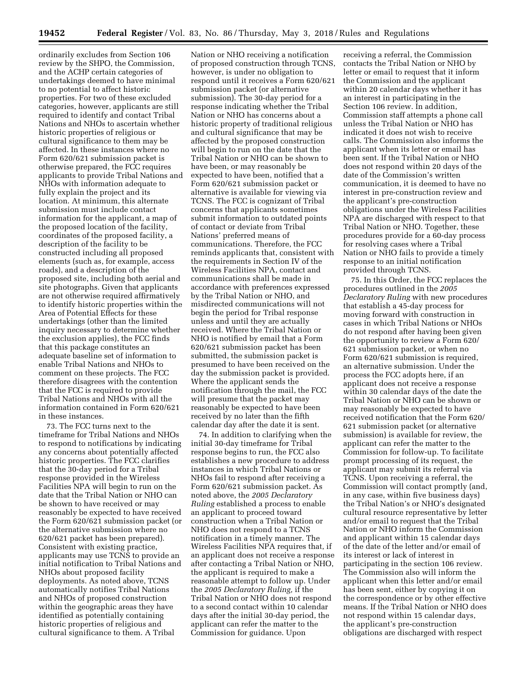ordinarily excludes from Section 106 review by the SHPO, the Commission, and the ACHP certain categories of undertakings deemed to have minimal to no potential to affect historic properties. For two of these excluded categories, however, applicants are still required to identify and contact Tribal Nations and NHOs to ascertain whether historic properties of religious or cultural significance to them may be affected. In these instances where no Form 620/621 submission packet is otherwise prepared, the FCC requires applicants to provide Tribal Nations and NHOs with information adequate to fully explain the project and its location. At minimum, this alternate submission must include contact information for the applicant, a map of the proposed location of the facility, coordinates of the proposed facility, a description of the facility to be constructed including all proposed elements (such as, for example, access roads), and a description of the proposed site, including both aerial and site photographs. Given that applicants are not otherwise required affirmatively to identify historic properties within the Area of Potential Effects for these undertakings (other than the limited inquiry necessary to determine whether the exclusion applies), the FCC finds that this package constitutes an adequate baseline set of information to enable Tribal Nations and NHOs to comment on these projects. The FCC therefore disagrees with the contention that the FCC is required to provide Tribal Nations and NHOs with all the information contained in Form 620/621 in these instances.

73. The FCC turns next to the timeframe for Tribal Nations and NHOs to respond to notifications by indicating any concerns about potentially affected historic properties. The FCC clarifies that the 30-day period for a Tribal response provided in the Wireless Facilities NPA will begin to run on the date that the Tribal Nation or NHO can be shown to have received or may reasonably be expected to have received the Form 620/621 submission packet (or the alternative submission where no 620/621 packet has been prepared). Consistent with existing practice, applicants may use TCNS to provide an initial notification to Tribal Nations and NHOs about proposed facility deployments. As noted above, TCNS automatically notifies Tribal Nations and NHOs of proposed construction within the geographic areas they have identified as potentially containing historic properties of religious and cultural significance to them. A Tribal

Nation or NHO receiving a notification of proposed construction through TCNS, however, is under no obligation to respond until it receives a Form 620/621 submission packet (or alternative submission). The 30-day period for a response indicating whether the Tribal Nation or NHO has concerns about a historic property of traditional religious and cultural significance that may be affected by the proposed construction will begin to run on the date that the Tribal Nation or NHO can be shown to have been, or may reasonably be expected to have been, notified that a Form 620/621 submission packet or alternative is available for viewing via TCNS. The FCC is cognizant of Tribal concerns that applicants sometimes submit information to outdated points of contact or deviate from Tribal Nations' preferred means of communications. Therefore, the FCC reminds applicants that, consistent with the requirements in Section IV of the Wireless Facilities NPA, contact and communications shall be made in accordance with preferences expressed by the Tribal Nation or NHO, and misdirected communications will not begin the period for Tribal response unless and until they are actually received. Where the Tribal Nation or NHO is notified by email that a Form 620/621 submission packet has been submitted, the submission packet is presumed to have been received on the day the submission packet is provided. Where the applicant sends the notification through the mail, the FCC will presume that the packet may reasonably be expected to have been received by no later than the fifth calendar day after the date it is sent.

74. In addition to clarifying when the initial 30-day timeframe for Tribal response begins to run, the FCC also establishes a new procedure to address instances in which Tribal Nations or NHOs fail to respond after receiving a Form 620/621 submission packet. As noted above, the *2005 Declaratory Ruling* established a process to enable an applicant to proceed toward construction when a Tribal Nation or NHO does not respond to a TCNS notification in a timely manner. The Wireless Facilities NPA requires that, if an applicant does not receive a response after contacting a Tribal Nation or NHO, the applicant is required to make a reasonable attempt to follow up. Under the *2005 Declaratory Ruling,* if the Tribal Nation or NHO does not respond to a second contact within 10 calendar days after the initial 30-day period, the applicant can refer the matter to the Commission for guidance. Upon

receiving a referral, the Commission contacts the Tribal Nation or NHO by letter or email to request that it inform the Commission and the applicant within 20 calendar days whether it has an interest in participating in the Section 106 review. In addition, Commission staff attempts a phone call unless the Tribal Nation or NHO has indicated it does not wish to receive calls. The Commission also informs the applicant when its letter or email has been sent. If the Tribal Nation or NHO does not respond within 20 days of the date of the Commission's written communication, it is deemed to have no interest in pre-construction review and the applicant's pre-construction obligations under the Wireless Facilities NPA are discharged with respect to that Tribal Nation or NHO. Together, these procedures provide for a 60-day process for resolving cases where a Tribal Nation or NHO fails to provide a timely response to an initial notification provided through TCNS.

75. In this Order, the FCC replaces the procedures outlined in the *2005 Declaratory Ruling* with new procedures that establish a 45-day process for moving forward with construction in cases in which Tribal Nations or NHOs do not respond after having been given the opportunity to review a Form 620/ 621 submission packet, or when no Form 620/621 submission is required, an alternative submission. Under the process the FCC adopts here, if an applicant does not receive a response within 30 calendar days of the date the Tribal Nation or NHO can be shown or may reasonably be expected to have received notification that the Form 620/ 621 submission packet (or alternative submission) is available for review, the applicant can refer the matter to the Commission for follow-up. To facilitate prompt processing of its request, the applicant may submit its referral via TCNS. Upon receiving a referral, the Commission will contact promptly (and, in any case, within five business days) the Tribal Nation's or NHO's designated cultural resource representative by letter and/or email to request that the Tribal Nation or NHO inform the Commission and applicant within 15 calendar days of the date of the letter and/or email of its interest or lack of interest in participating in the section 106 review. The Commission also will inform the applicant when this letter and/or email has been sent, either by copying it on the correspondence or by other effective means. If the Tribal Nation or NHO does not respond within 15 calendar days, the applicant's pre-construction obligations are discharged with respect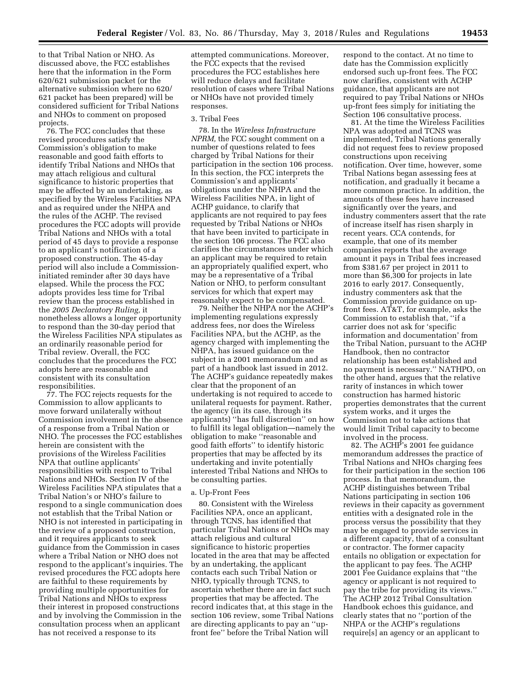to that Tribal Nation or NHO. As discussed above, the FCC establishes here that the information in the Form 620/621 submission packet (or the alternative submission where no 620/ 621 packet has been prepared) will be considered sufficient for Tribal Nations and NHOs to comment on proposed projects.

76. The FCC concludes that these revised procedures satisfy the Commission's obligation to make reasonable and good faith efforts to identify Tribal Nations and NHOs that may attach religious and cultural significance to historic properties that may be affected by an undertaking, as specified by the Wireless Facilities NPA and as required under the NHPA and the rules of the ACHP. The revised procedures the FCC adopts will provide Tribal Nations and NHOs with a total period of 45 days to provide a response to an applicant's notification of a proposed construction. The 45-day period will also include a Commissioninitiated reminder after 30 days have elapsed. While the process the FCC adopts provides less time for Tribal review than the process established in the *2005 Declaratory Ruling,* it nonetheless allows a longer opportunity to respond than the 30-day period that the Wireless Facilities NPA stipulates as an ordinarily reasonable period for Tribal review. Overall, the FCC concludes that the procedures the FCC adopts here are reasonable and consistent with its consultation responsibilities.

77. The FCC rejects requests for the Commission to allow applicants to move forward unilaterally without Commission involvement in the absence of a response from a Tribal Nation or NHO. The processes the FCC establishes herein are consistent with the provisions of the Wireless Facilities NPA that outline applicants' responsibilities with respect to Tribal Nations and NHOs. Section IV of the Wireless Facilities NPA stipulates that a Tribal Nation's or NHO's failure to respond to a single communication does not establish that the Tribal Nation or NHO is not interested in participating in the review of a proposed construction, and it requires applicants to seek guidance from the Commission in cases where a Tribal Nation or NHO does not respond to the applicant's inquiries. The revised procedures the FCC adopts here are faithful to these requirements by providing multiple opportunities for Tribal Nations and NHOs to express their interest in proposed constructions and by involving the Commission in the consultation process when an applicant has not received a response to its

attempted communications. Moreover, the FCC expects that the revised procedures the FCC establishes here will reduce delays and facilitate resolution of cases where Tribal Nations or NHOs have not provided timely responses.

#### 3. Tribal Fees

78. In the *Wireless Infrastructure NPRM,* the FCC sought comment on a number of questions related to fees charged by Tribal Nations for their participation in the section 106 process. In this section, the FCC interprets the Commission's and applicants' obligations under the NHPA and the Wireless Facilities NPA, in light of ACHP guidance, to clarify that applicants are not required to pay fees requested by Tribal Nations or NHOs that have been invited to participate in the section 106 process. The FCC also clarifies the circumstances under which an applicant may be required to retain an appropriately qualified expert, who may be a representative of a Tribal Nation or NHO, to perform consultant services for which that expert may reasonably expect to be compensated.

79. Neither the NHPA nor the ACHP's implementing regulations expressly address fees, nor does the Wireless Facilities NPA, but the ACHP, as the agency charged with implementing the NHPA, has issued guidance on the subject in a 2001 memorandum and as part of a handbook last issued in 2012. The ACHP's guidance repeatedly makes clear that the proponent of an undertaking is not required to accede to unilateral requests for payment. Rather, the agency (in its case, through its applicants) ''has full discretion'' on how to fulfill its legal obligation—namely the obligation to make ''reasonable and good faith efforts'' to identify historic properties that may be affected by its undertaking and invite potentially interested Tribal Nations and NHOs to be consulting parties.

#### a. Up-Front Fees

80. Consistent with the Wireless Facilities NPA, once an applicant, through TCNS, has identified that particular Tribal Nations or NHOs may attach religious and cultural significance to historic properties located in the area that may be affected by an undertaking, the applicant contacts each such Tribal Nation or NHO, typically through TCNS, to ascertain whether there are in fact such properties that may be affected. The record indicates that, at this stage in the section 106 review, some Tribal Nations are directing applicants to pay an ''upfront fee'' before the Tribal Nation will

respond to the contact. At no time to date has the Commission explicitly endorsed such up-front fees. The FCC now clarifies, consistent with ACHP guidance, that applicants are not required to pay Tribal Nations or NHOs up-front fees simply for initiating the Section 106 consultative process.

81. At the time the Wireless Facilities NPA was adopted and TCNS was implemented, Tribal Nations generally did not request fees to review proposed constructions upon receiving notification. Over time, however, some Tribal Nations began assessing fees at notification, and gradually it became a more common practice. In addition, the amounts of these fees have increased significantly over the years, and industry commenters assert that the rate of increase itself has risen sharply in recent years. CCA contends, for example, that one of its member companies reports that the average amount it pays in Tribal fees increased from \$381.67 per project in 2011 to more than \$6,300 for projects in late 2016 to early 2017. Consequently, industry commenters ask that the Commission provide guidance on upfront fees. AT&T, for example, asks the Commission to establish that, ''if a carrier does not ask for 'specific information and documentation' from the Tribal Nation, pursuant to the ACHP Handbook, then no contractor relationship has been established and no payment is necessary.'' NATHPO, on the other hand, argues that the relative rarity of instances in which tower construction has harmed historic properties demonstrates that the current system works, and it urges the Commission not to take actions that would limit Tribal capacity to become involved in the process.

82. The ACHP's 2001 fee guidance memorandum addresses the practice of Tribal Nations and NHOs charging fees for their participation in the section 106 process. In that memorandum, the ACHP distinguishes between Tribal Nations participating in section 106 reviews in their capacity as government entities with a designated role in the process versus the possibility that they may be engaged to provide services in a different capacity, that of a consultant or contractor. The former capacity entails no obligation or expectation for the applicant to pay fees. The ACHP 2001 Fee Guidance explains that ''the agency or applicant is not required to pay the tribe for providing its views.'' The ACHP 2012 Tribal Consultation Handbook echoes this guidance, and clearly states that no ''portion of the NHPA or the ACHP's regulations require[s] an agency or an applicant to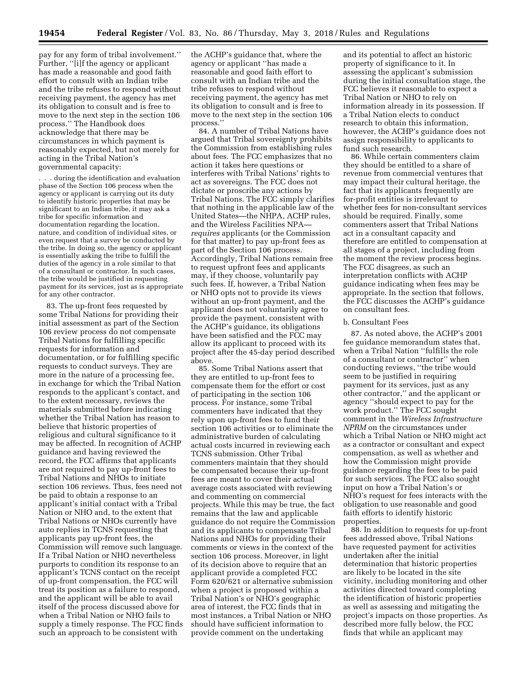pay for any form of tribal involvement.'' Further, ''[i]f the agency or applicant has made a reasonable and good faith effort to consult with an Indian tribe and the tribe refuses to respond without receiving payment, the agency has met its obligation to consult and is free to move to the next step in the section 106 process.'' The Handbook does acknowledge that there may be circumstances in which payment is reasonably expected, but not merely for acting in the Tribal Nation's governmental capacity:

. . . during the identification and evaluation phase of the Section 106 process when the agency or applicant is carrying out its duty to identify historic properties that may be significant to an Indian tribe, it may ask a tribe for specific information and documentation regarding the location, nature, and condition of individual sites, or even request that a survey be conducted by the tribe. In doing so, the agency or applicant is essentially asking the tribe to fulfill the duties of the agency in a role similar to that of a consultant or contractor. In such cases, the tribe would be justified in requesting payment for its services, just as is appropriate for any other contractor.

83. The up-front fees requested by some Tribal Nations for providing their initial assessment as part of the Section 106 review process do not compensate Tribal Nations for fulfilling specific requests for information and documentation, or for fulfilling specific requests to conduct surveys. They are more in the nature of a processing fee, in exchange for which the Tribal Nation responds to the applicant's contact, and to the extent necessary, reviews the materials submitted before indicating whether the Tribal Nation has reason to believe that historic properties of religious and cultural significance to it may be affected. In recognition of ACHP guidance and having reviewed the record, the FCC affirms that applicants are not required to pay up-front fees to Tribal Nations and NHOs to initiate section 106 reviews. Thus, fees need not be paid to obtain a response to an applicant's initial contact with a Tribal Nation or NHO and, to the extent that Tribal Nations or NHOs currently have auto replies in TCNS requesting that applicants pay up-front fees, the Commission will remove such language. If a Tribal Nation or NHO nevertheless purports to condition its response to an applicant's TCNS contact on the receipt of up-front compensation, the FCC will treat its position as a failure to respond, and the applicant will be able to avail itself of the process discussed above for when a Tribal Nation or NHO fails to supply a timely response. The FCC finds such an approach to be consistent with

the ACHP's guidance that, where the agency or applicant ''has made a reasonable and good faith effort to consult with an Indian tribe and the tribe refuses to respond without receiving payment, the agency has met its obligation to consult and is free to move to the next step in the section 106 process.''

84. A number of Tribal Nations have argued that Tribal sovereignty prohibits the Commission from establishing rules about fees. The FCC emphasizes that no action it takes here questions or interferes with Tribal Nations' rights to act as sovereigns. The FCC does not dictate or proscribe any actions by Tribal Nations. The FCC simply clarifies that nothing in the applicable law of the United States—the NHPA, ACHP rules, and the Wireless Facilities NPA *requires* applicants (or the Commission for that matter) to pay up-front fees as part of the Section 106 process. Accordingly, Tribal Nations remain free to request upfront fees and applicants may, if they choose, voluntarily pay such fees. If, however, a Tribal Nation or NHO opts not to provide its views without an up-front payment, and the applicant does not voluntarily agree to provide the payment, consistent with the ACHP's guidance, its obligations have been satisfied and the FCC may allow its applicant to proceed with its project after the 45-day period described above.

85. Some Tribal Nations assert that they are entitled to up-front fees to compensate them for the effort or cost of participating in the section 106 process. For instance, some Tribal commenters have indicated that they rely upon up-front fees to fund their section 106 activities or to eliminate the administrative burden of calculating actual costs incurred in reviewing each TCNS submission. Other Tribal commenters maintain that they should be compensated because their up-front fees are meant to cover their actual average costs associated with reviewing and commenting on commercial projects. While this may be true, the fact remains that the law and applicable guidance do not require the Commission and its applicants to compensate Tribal Nations and NHOs for providing their comments or views in the context of the section 106 process. Moreover, in light of its decision above to require that an applicant provide a completed FCC Form 620/621 or alternative submission when a project is proposed within a Tribal Nation's or NHO's geographic area of interest, the FCC finds that in most instances, a Tribal Nation or NHO should have sufficient information to provide comment on the undertaking

and its potential to affect an historic property of significance to it. In assessing the applicant's submission during the initial consultation stage, the FCC believes it reasonable to expect a Tribal Nation or NHO to rely on information already in its possession. If a Tribal Nation elects to conduct research to obtain this information, however, the ACHP's guidance does not assign responsibility to applicants to fund such research.

86. While certain commenters claim they should be entitled to a share of revenue from commercial ventures that may impact their cultural heritage, the fact that its applicants frequently are for-profit entities is irrelevant to whether fees for non-consultant services should be required. Finally, some commenters assert that Tribal Nations act in a consultant capacity and therefore are entitled to compensation at all stages of a project, including from the moment the review process begins. The FCC disagrees, as such an interpretation conflicts with ACHP guidance indicating when fees may be appropriate. In the section that follows, the FCC discusses the ACHP's guidance on consultant fees.

#### b. Consultant Fees

87. As noted above, the ACHP's 2001 fee guidance memorandum states that, when a Tribal Nation ''fulfills the role of a consultant or contractor'' when conducting reviews, ''the tribe would seem to be justified in requiring payment for its services, just as any other contractor,'' and the applicant or agency ''should expect to pay for the work product.'' The FCC sought comment in the *Wireless Infrastructure NPRM* on the circumstances under which a Tribal Nation or NHO might act as a contractor or consultant and expect compensation, as well as whether and how the Commission might provide guidance regarding the fees to be paid for such services. The FCC also sought input on how a Tribal Nation's or NHO's request for fees interacts with the obligation to use reasonable and good faith efforts to identify historic properties.

88. In addition to requests for up-front fees addressed above, Tribal Nations have requested payment for activities undertaken after the initial determination that historic properties are likely to be located in the site vicinity, including monitoring and other activities directed toward completing the identification of historic properties as well as assessing and mitigating the project's impacts on those properties. As described more fully below, the FCC finds that while an applicant may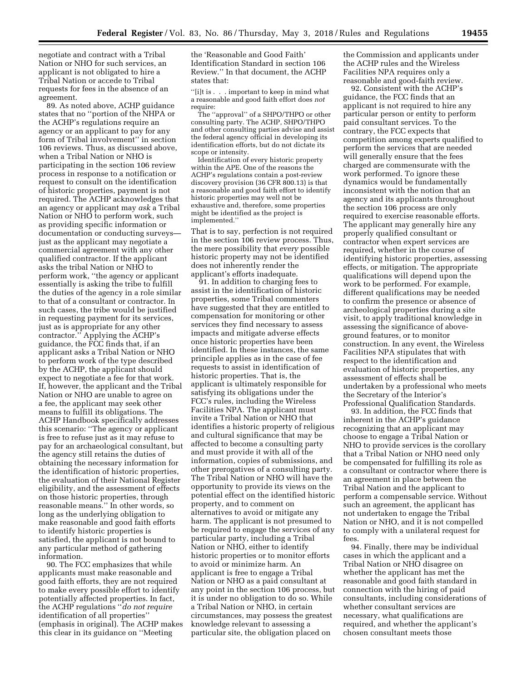negotiate and contract with a Tribal Nation or NHO for such services, an applicant is not obligated to hire a Tribal Nation or accede to Tribal requests for fees in the absence of an agreement.

89. As noted above, ACHP guidance states that no ''portion of the NHPA or the ACHP's regulations require an agency or an applicant to pay for any form of Tribal involvement'' in section 106 reviews. Thus, as discussed above, when a Tribal Nation or NHO is participating in the section 106 review process in response to a notification or request to consult on the identification of historic properties, payment is not required. The ACHP acknowledges that an agency or applicant may *ask* a Tribal Nation or NHO to perform work, such as providing specific information or documentation or conducting surveys just as the applicant may negotiate a commercial agreement with any other qualified contractor. If the applicant asks the tribal Nation or NHO to perform work, ''the agency or applicant essentially is asking the tribe to fulfill the duties of the agency in a role similar to that of a consultant or contractor. In such cases, the tribe would be justified in requesting payment for its services, just as is appropriate for any other contractor.'' Applying the ACHP's guidance, the FCC finds that, if an applicant asks a Tribal Nation or NHO to perform work of the type described by the ACHP, the applicant should expect to negotiate a fee for that work. If, however, the applicant and the Tribal Nation or NHO are unable to agree on a fee, the applicant may seek other means to fulfill its obligations. The ACHP Handbook specifically addresses this scenario: ''The agency or applicant is free to refuse just as it may refuse to pay for an archaeological consultant, but the agency still retains the duties of obtaining the necessary information for the identification of historic properties, the evaluation of their National Register eligibility, and the assessment of effects on those historic properties, through reasonable means.'' In other words, so long as the underlying obligation to make reasonable and good faith efforts to identify historic properties is satisfied, the applicant is not bound to any particular method of gathering information.

90. The FCC emphasizes that while applicants must make reasonable and good faith efforts, they are not required to make every possible effort to identify potentially affected properties. In fact, the ACHP regulations ''*do not require*  identification of all properties'' (emphasis in original). The ACHP makes this clear in its guidance on ''Meeting

the 'Reasonable and Good Faith' Identification Standard in section 106 Review.'' In that document, the ACHP states that:

''[i]t is . . . important to keep in mind what a reasonable and good faith effort does *not*  require:

The ''approval'' of a SHPO/THPO or other consulting party. The ACHP, SHPO/THPO and other consulting parties advise and assist the federal agency official in developing its identification efforts, but do not dictate its scope or intensity.

Identification of every historic property within the APE. One of the reasons the ACHP's regulations contain a post-review discovery provision (36 CFR 800.13) is that a reasonable and good faith effort to identify historic properties may well not be exhaustive and, therefore, some properties might be identified as the project is implemented.''

That is to say, perfection is not required in the section 106 review process. Thus, the mere possibility that *every* possible historic property may not be identified does not inherently render the applicant's efforts inadequate.

91. In addition to charging fees to assist in the identification of historic properties, some Tribal commenters have suggested that they are entitled to compensation for monitoring or other services they find necessary to assess impacts and mitigate adverse effects once historic properties have been identified. In these instances, the same principle applies as in the case of fee requests to assist in identification of historic properties. That is, the applicant is ultimately responsible for satisfying its obligations under the FCC's rules, including the Wireless Facilities NPA. The applicant must invite a Tribal Nation or NHO that identifies a historic property of religious and cultural significance that may be affected to become a consulting party and must provide it with all of the information, copies of submissions, and other prerogatives of a consulting party. The Tribal Nation or NHO will have the opportunity to provide its views on the potential effect on the identified historic property, and to comment on alternatives to avoid or mitigate any harm. The applicant is not presumed to be required to engage the services of any particular party, including a Tribal Nation or NHO, either to identify historic properties or to monitor efforts to avoid or minimize harm. An applicant is free to engage a Tribal Nation or NHO as a paid consultant at any point in the section 106 process, but it is under no obligation to do so. While a Tribal Nation or NHO, in certain circumstances, may possess the greatest knowledge relevant to assessing a particular site, the obligation placed on

the Commission and applicants under the ACHP rules and the Wireless Facilities NPA requires only a reasonable and good-faith review.

92. Consistent with the ACHP's guidance, the FCC finds that an applicant is not required to hire any particular person or entity to perform paid consultant services. To the contrary, the FCC expects that competition among experts qualified to perform the services that are needed will generally ensure that the fees charged are commensurate with the work performed. To ignore these dynamics would be fundamentally inconsistent with the notion that an agency and its applicants throughout the section 106 process are only required to exercise reasonable efforts. The applicant may generally hire any properly qualified consultant or contractor when expert services are required, whether in the course of identifying historic properties, assessing effects, or mitigation. The appropriate qualifications will depend upon the work to be performed. For example, different qualifications may be needed to confirm the presence or absence of archeological properties during a site visit, to apply traditional knowledge in assessing the significance of aboveground features, or to monitor construction. In any event, the Wireless Facilities NPA stipulates that with respect to the identification and evaluation of historic properties, any assessment of effects shall be undertaken by a professional who meets the Secretary of the Interior's Professional Qualification Standards.

93. In addition, the FCC finds that inherent in the ACHP's guidance recognizing that an applicant may choose to engage a Tribal Nation or NHO to provide services is the corollary that a Tribal Nation or NHO need only be compensated for fulfilling its role as a consultant or contractor where there is an agreement in place between the Tribal Nation and the applicant to perform a compensable service. Without such an agreement, the applicant has not undertaken to engage the Tribal Nation or NHO, and it is not compelled to comply with a unilateral request for fees.

94. Finally, there may be individual cases in which the applicant and a Tribal Nation or NHO disagree on whether the applicant has met the reasonable and good faith standard in connection with the hiring of paid consultants, including considerations of whether consultant services are necessary, what qualifications are required, and whether the applicant's chosen consultant meets those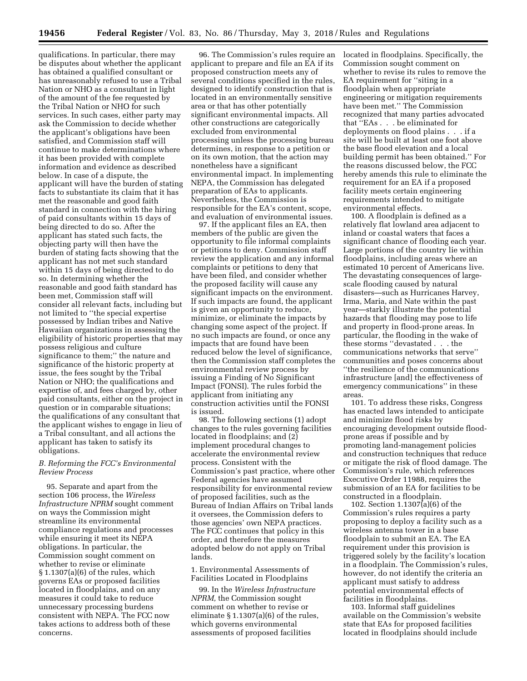qualifications. In particular, there may be disputes about whether the applicant has obtained a qualified consultant or has unreasonably refused to use a Tribal Nation or NHO as a consultant in light of the amount of the fee requested by the Tribal Nation or NHO for such services. In such cases, either party may ask the Commission to decide whether the applicant's obligations have been satisfied, and Commission staff will continue to make determinations where it has been provided with complete information and evidence as described below. In case of a dispute, the applicant will have the burden of stating facts to substantiate its claim that it has met the reasonable and good faith standard in connection with the hiring of paid consultants within 15 days of being directed to do so. After the applicant has stated such facts, the objecting party will then have the burden of stating facts showing that the applicant has not met such standard within 15 days of being directed to do so. In determining whether the reasonable and good faith standard has been met, Commission staff will consider all relevant facts, including but not limited to ''the special expertise possessed by Indian tribes and Native Hawaiian organizations in assessing the eligibility of historic properties that may possess religious and culture significance to them;'' the nature and significance of the historic property at issue, the fees sought by the Tribal Nation or NHO; the qualifications and expertise of, and fees charged by, other paid consultants, either on the project in question or in comparable situations; the qualifications of any consultant that the applicant wishes to engage in lieu of a Tribal consultant, and all actions the applicant has taken to satisfy its obligations.

### *B. Reforming the FCC's Environmental Review Process*

95. Separate and apart from the section 106 process, the *Wireless Infrastructure NPRM* sought comment on ways the Commission might streamline its environmental compliance regulations and processes while ensuring it meet its NEPA obligations. In particular, the Commission sought comment on whether to revise or eliminate § 1.1307(a)(6) of the rules, which governs EAs or proposed facilities located in floodplains, and on any measures it could take to reduce unnecessary processing burdens consistent with NEPA. The FCC now takes actions to address both of these concerns.

96. The Commission's rules require an applicant to prepare and file an EA if its proposed construction meets any of several conditions specified in the rules, designed to identify construction that is located in an environmentally sensitive area or that has other potentially significant environmental impacts. All other constructions are categorically excluded from environmental processing unless the processing bureau determines, in response to a petition or on its own motion, that the action may nonetheless have a significant environmental impact. In implementing NEPA, the Commission has delegated preparation of EAs to applicants. Nevertheless, the Commission is responsible for the EA's content, scope, and evaluation of environmental issues.

97. If the applicant files an EA, then members of the public are given the opportunity to file informal complaints or petitions to deny. Commission staff review the application and any informal complaints or petitions to deny that have been filed, and consider whether the proposed facility will cause any significant impacts on the environment. If such impacts are found, the applicant is given an opportunity to reduce, minimize, or eliminate the impacts by changing some aspect of the project. If no such impacts are found, or once any impacts that are found have been reduced below the level of significance, then the Commission staff completes the environmental review process by issuing a Finding of No Significant Impact (FONSI). The rules forbid the applicant from initiating any construction activities until the FONSI is issued.

98. The following sections (1) adopt changes to the rules governing facilities located in floodplains; and (2) implement procedural changes to accelerate the environmental review process. Consistent with the Commission's past practice, where other Federal agencies have assumed responsibility for environmental review of proposed facilities, such as the Bureau of Indian Affairs on Tribal lands it oversees, the Commission defers to those agencies' own NEPA practices. The FCC continues that policy in this order, and therefore the measures adopted below do not apply on Tribal lands.

1. Environmental Assessments of Facilities Located in Floodplains

99. In the *Wireless Infrastructure NPRM,* the Commission sought comment on whether to revise or eliminate § 1.1307(a)(6) of the rules, which governs environmental assessments of proposed facilities

located in floodplains. Specifically, the Commission sought comment on whether to revise its rules to remove the EA requirement for ''siting in a floodplain when appropriate engineering or mitigation requirements have been met.'' The Commission recognized that many parties advocated that ''EAs . . . be eliminated for deployments on flood plains . . . if a site will be built at least one foot above the base flood elevation and a local building permit has been obtained.'' For the reasons discussed below, the FCC hereby amends this rule to eliminate the requirement for an EA if a proposed facility meets certain engineering requirements intended to mitigate environmental effects.

100. A floodplain is defined as a relatively flat lowland area adjacent to inland or coastal waters that faces a significant chance of flooding each year. Large portions of the country lie within floodplains, including areas where an estimated 10 percent of Americans live. The devastating consequences of largescale flooding caused by natural disasters—such as Hurricanes Harvey, Irma, Maria, and Nate within the past year—starkly illustrate the potential hazards that flooding may pose to life and property in flood-prone areas. In particular, the flooding in the wake of these storms ''devastated . . . the communications networks that serve'' communities and poses concerns about ''the resilience of the communications infrastructure [and] the effectiveness of emergency communications'' in these areas.

101. To address these risks, Congress has enacted laws intended to anticipate and minimize flood risks by encouraging development outside floodprone areas if possible and by promoting land-management policies and construction techniques that reduce or mitigate the risk of flood damage. The Commission's rule, which references Executive Order 11988, requires the submission of an EA for facilities to be constructed in a floodplain.

102. Section 1.1307(a)(6) of the Commission's rules requires a party proposing to deploy a facility such as a wireless antenna tower in a base floodplain to submit an EA. The EA requirement under this provision is triggered solely by the facility's location in a floodplain. The Commission's rules, however, do not identify the criteria an applicant must satisfy to address potential environmental effects of facilities in floodplains.

103. Informal staff guidelines available on the Commission's website state that EAs for proposed facilities located in floodplains should include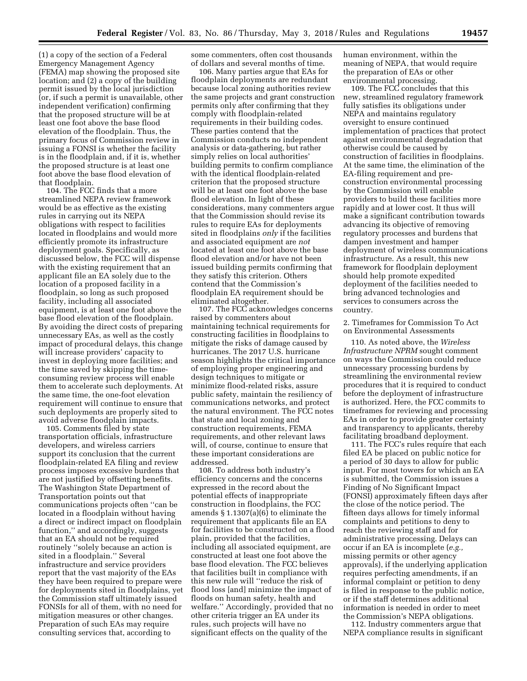(1) a copy of the section of a Federal Emergency Management Agency (FEMA) map showing the proposed site location; and (2) a copy of the building permit issued by the local jurisdiction (or, if such a permit is unavailable, other independent verification) confirming that the proposed structure will be at least one foot above the base flood elevation of the floodplain. Thus, the primary focus of Commission review in issuing a FONSI is whether the facility is in the floodplain and, if it is, whether the proposed structure is at least one foot above the base flood elevation of that floodplain.

104. The FCC finds that a more streamlined NEPA review framework would be as effective as the existing rules in carrying out its NEPA obligations with respect to facilities located in floodplains and would more efficiently promote its infrastructure deployment goals. Specifically, as discussed below, the FCC will dispense with the existing requirement that an applicant file an EA solely due to the location of a proposed facility in a floodplain, so long as such proposed facility, including all associated equipment, is at least one foot above the base flood elevation of the floodplain. By avoiding the direct costs of preparing unnecessary EAs, as well as the costly impact of procedural delays, this change will increase providers' capacity to invest in deploying more facilities; and the time saved by skipping the timeconsuming review process will enable them to accelerate such deployments. At the same time, the one-foot elevation requirement will continue to ensure that such deployments are properly sited to avoid adverse floodplain impacts.

105. Comments filed by state transportation officials, infrastructure developers, and wireless carriers support its conclusion that the current floodplain-related EA filing and review process imposes excessive burdens that are not justified by offsetting benefits. The Washington State Department of Transportation points out that communications projects often ''can be located in a floodplain without having a direct or indirect impact on floodplain function,'' and accordingly, suggests that an EA should not be required routinely ''solely because an action is sited in a floodplain.'' Several infrastructure and service providers report that the vast majority of the EAs they have been required to prepare were for deployments sited in floodplains, yet the Commission staff ultimately issued FONSIs for all of them, with no need for mitigation measures or other changes. Preparation of such EAs may require consulting services that, according to

some commenters, often cost thousands of dollars and several months of time.

106. Many parties argue that EAs for floodplain deployments are redundant because local zoning authorities review the same projects and grant construction permits only after confirming that they comply with floodplain-related requirements in their building codes. These parties contend that the Commission conducts no independent analysis or data-gathering, but rather simply relies on local authorities' building permits to confirm compliance with the identical floodplain-related criterion that the proposed structure will be at least one foot above the base flood elevation. In light of these considerations, many commenters argue that the Commission should revise its rules to require EAs for deployments sited in floodplains *only* if the facilities and associated equipment are *not*  located at least one foot above the base flood elevation and/or have not been issued building permits confirming that they satisfy this criterion. Others contend that the Commission's floodplain EA requirement should be eliminated altogether.

107. The FCC acknowledges concerns raised by commenters about maintaining technical requirements for constructing facilities in floodplains to mitigate the risks of damage caused by hurricanes. The 2017 U.S. hurricane season highlights the critical importance of employing proper engineering and design techniques to mitigate or minimize flood-related risks, assure public safety, maintain the resiliency of communications networks, and protect the natural environment. The FCC notes that state and local zoning and construction requirements, FEMA requirements, and other relevant laws will, of course, continue to ensure that these important considerations are addressed.

108. To address both industry's efficiency concerns and the concerns expressed in the record about the potential effects of inappropriate construction in floodplains, the FCC amends § 1.1307(a)(6) to eliminate the requirement that applicants file an EA for facilities to be constructed on a flood plain, provided that the facilities, including all associated equipment, are constructed at least one foot above the base flood elevation. The FCC believes that facilities built in compliance with this new rule will ''reduce the risk of flood loss [and] minimize the impact of floods on human safety, health and welfare.'' Accordingly, provided that no other criteria trigger an EA under its rules, such projects will have no significant effects on the quality of the

human environment, within the meaning of NEPA, that would require the preparation of EAs or other environmental processing.

109. The FCC concludes that this new, streamlined regulatory framework fully satisfies its obligations under NEPA and maintains regulatory oversight to ensure continued implementation of practices that protect against environmental degradation that otherwise could be caused by construction of facilities in floodplains. At the same time, the elimination of the EA-filing requirement and preconstruction environmental processing by the Commission will enable providers to build these facilities more rapidly and at lower cost. It thus will make a significant contribution towards advancing its objective of removing regulatory processes and burdens that dampen investment and hamper deployment of wireless communications infrastructure. As a result, this new framework for floodplain deployment should help promote expedited deployment of the facilities needed to bring advanced technologies and services to consumers across the country.

2. Timeframes for Commission To Act on Environmental Assessments

110. As noted above, the *Wireless Infrastructure NPRM* sought comment on ways the Commission could reduce unnecessary processing burdens by streamlining the environmental review procedures that it is required to conduct before the deployment of infrastructure is authorized. Here, the FCC commits to timeframes for reviewing and processing EAs in order to provide greater certainty and transparency to applicants, thereby facilitating broadband deployment.

111. The FCC's rules require that each filed EA be placed on public notice for a period of 30 days to allow for public input. For most towers for which an EA is submitted, the Commission issues a Finding of No Significant Impact (FONSI) approximately fifteen days after the close of the notice period. The fifteen days allows for timely informal complaints and petitions to deny to reach the reviewing staff and for administrative processing. Delays can occur if an EA is incomplete (*e.g.,*  missing permits or other agency approvals), if the underlying application requires perfecting amendments, if an informal complaint or petition to deny is filed in response to the public notice, or if the staff determines additional information is needed in order to meet the Commission's NEPA obligations.

112. Industry commenters argue that NEPA compliance results in significant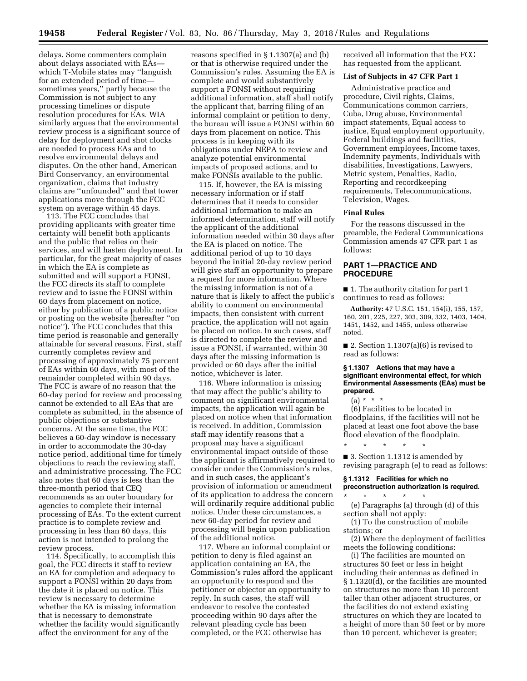delays. Some commenters complain about delays associated with EAs which T-Mobile states may ''languish for an extended period of time sometimes years,'' partly because the Commission is not subject to any processing timelines or dispute resolution procedures for EAs. WIA similarly argues that the environmental review process is a significant source of delay for deployment and shot clocks are needed to process EAs and to resolve environmental delays and disputes. On the other hand, American Bird Conservancy, an environmental organization, claims that industry claims are ''unfounded'' and that tower applications move through the FCC system on average within 45 days.

113. The FCC concludes that providing applicants with greater time certainty will benefit both applicants and the public that relies on their services, and will hasten deployment. In particular, for the great majority of cases in which the EA is complete as submitted and will support a FONSI, the FCC directs its staff to complete review and to issue the FONSI within 60 days from placement on notice, either by publication of a public notice or posting on the website (hereafter ''on notice''). The FCC concludes that this time period is reasonable and generally attainable for several reasons. First, staff currently completes review and processing of approximately 75 percent of EAs within 60 days, with most of the remainder completed within 90 days. The FCC is aware of no reason that the 60-day period for review and processing cannot be extended to all EAs that are complete as submitted, in the absence of public objections or substantive concerns. At the same time, the FCC believes a 60-day window is necessary in order to accommodate the 30-day notice period, additional time for timely objections to reach the reviewing staff, and administrative processing. The FCC also notes that 60 days is less than the three-month period that CEQ recommends as an outer boundary for agencies to complete their internal processing of EAs. To the extent current practice is to complete review and processing in less than 60 days, this action is not intended to prolong the review process.

114. Specifically, to accomplish this goal, the FCC directs it staff to review an EA for completion and adequacy to support a FONSI within 20 days from the date it is placed on notice. This review is necessary to determine whether the EA is missing information that is necessary to demonstrate whether the facility would significantly affect the environment for any of the

reasons specified in § 1.1307(a) and (b) or that is otherwise required under the Commission's rules. Assuming the EA is complete and would substantively support a FONSI without requiring additional information, staff shall notify the applicant that, barring filing of an informal complaint or petition to deny, the bureau will issue a FONSI within 60 days from placement on notice. This process is in keeping with its obligations under NEPA to review and analyze potential environmental impacts of proposed actions, and to make FONSIs available to the public.

115. If, however, the EA is missing necessary information or if staff determines that it needs to consider additional information to make an informed determination, staff will notify the applicant of the additional information needed within 30 days after the EA is placed on notice. The additional period of up to 10 days beyond the initial 20-day review period will give staff an opportunity to prepare a request for more information. Where the missing information is not of a nature that is likely to affect the public's ability to comment on environmental impacts, then consistent with current practice, the application will not again be placed on notice. In such cases, staff is directed to complete the review and issue a FONSI, if warranted, within 30 days after the missing information is provided or 60 days after the initial notice, whichever is later.

116. Where information is missing that may affect the public's ability to comment on significant environmental impacts, the application will again be placed on notice when that information is received. In addition, Commission staff may identify reasons that a proposal may have a significant environmental impact outside of those the applicant is affirmatively required to consider under the Commission's rules, and in such cases, the applicant's provision of information or amendment of its application to address the concern will ordinarily require additional public notice. Under these circumstances, a new 60-day period for review and processing will begin upon publication of the additional notice.

117. Where an informal complaint or petition to deny is filed against an application containing an EA, the Commission's rules afford the applicant an opportunity to respond and the petitioner or objector an opportunity to reply. In such cases, the staff will endeavor to resolve the contested proceeding within 90 days after the relevant pleading cycle has been completed, or the FCC otherwise has

received all information that the FCC has requested from the applicant.

# **List of Subjects in 47 CFR Part 1**

Administrative practice and procedure, Civil rights, Claims, Communications common carriers, Cuba, Drug abuse, Environmental impact statements, Equal access to justice, Equal employment opportunity, Federal buildings and facilities, Government employees, Income taxes, Indemnity payments, Individuals with disabilities, Investigations, Lawyers, Metric system, Penalties, Radio, Reporting and recordkeeping requirements, Telecommunications, Television, Wages.

### **Final Rules**

For the reasons discussed in the preamble, the Federal Communications Commission amends 47 CFR part 1 as follows:

# **PART 1—PRACTICE AND PROCEDURE**

■ 1. The authority citation for part 1 continues to read as follows:

**Authority:** 47 U.S.C. 151, 154(i), 155, 157, 160, 201, 225, 227, 303, 309, 332, 1403, 1404, 1451, 1452, and 1455, unless otherwise noted.

■ 2. Section  $1.1307(a)(6)$  is revised to read as follows:

### **§ 1.1307 Actions that may have a significant environmental effect, for which Environmental Assessments (EAs) must be prepared.**

 $(a) * * * *$ 

(6) Facilities to be located in floodplains, if the facilities will not be placed at least one foot above the base flood elevation of the floodplain.

\* \* \* \* \* ■ 3. Section 1.1312 is amended by revising paragraph (e) to read as follows:

#### **§ 1.1312 Facilities for which no preconstruction authorization is required.**  \* \* \* \* \*

(e) Paragraphs (a) through (d) of this section shall not apply:

(1) To the construction of mobile stations; or

(2) Where the deployment of facilities meets the following conditions:

(i) The facilities are mounted on structures 50 feet or less in height including their antennas as defined in § 1.1320(d), or the facilities are mounted on structures no more than 10 percent taller than other adjacent structures, or the facilities do not extend existing structures on which they are located to a height of more than 50 feet or by more than 10 percent, whichever is greater;